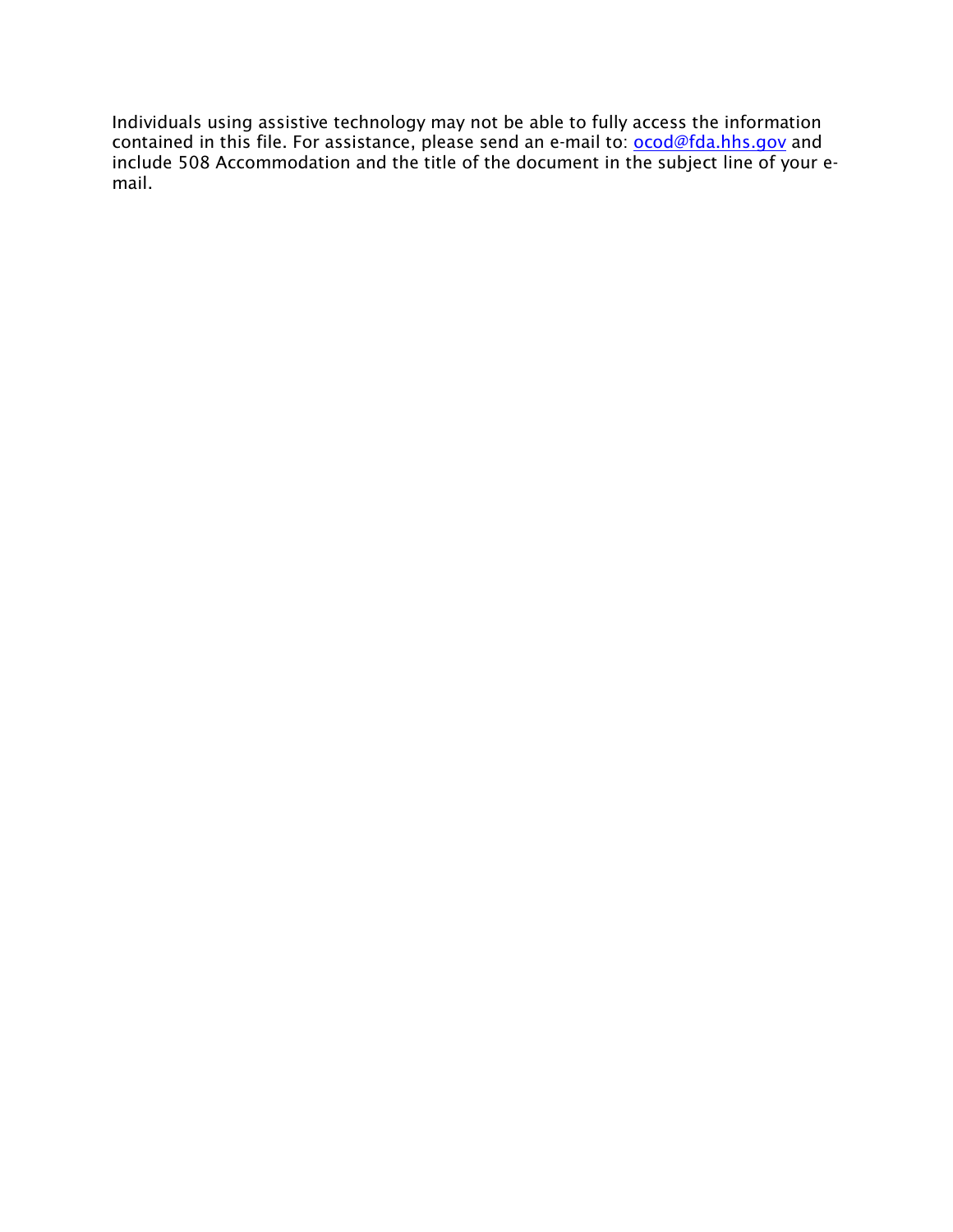Individuals using assistive technology may not be able to fully access the information contained in this file. For assistance, please send an e-mail to: **ocod@fda.hhs.gov** and include 508 Accommodation and the title of the document in the subject line of your email.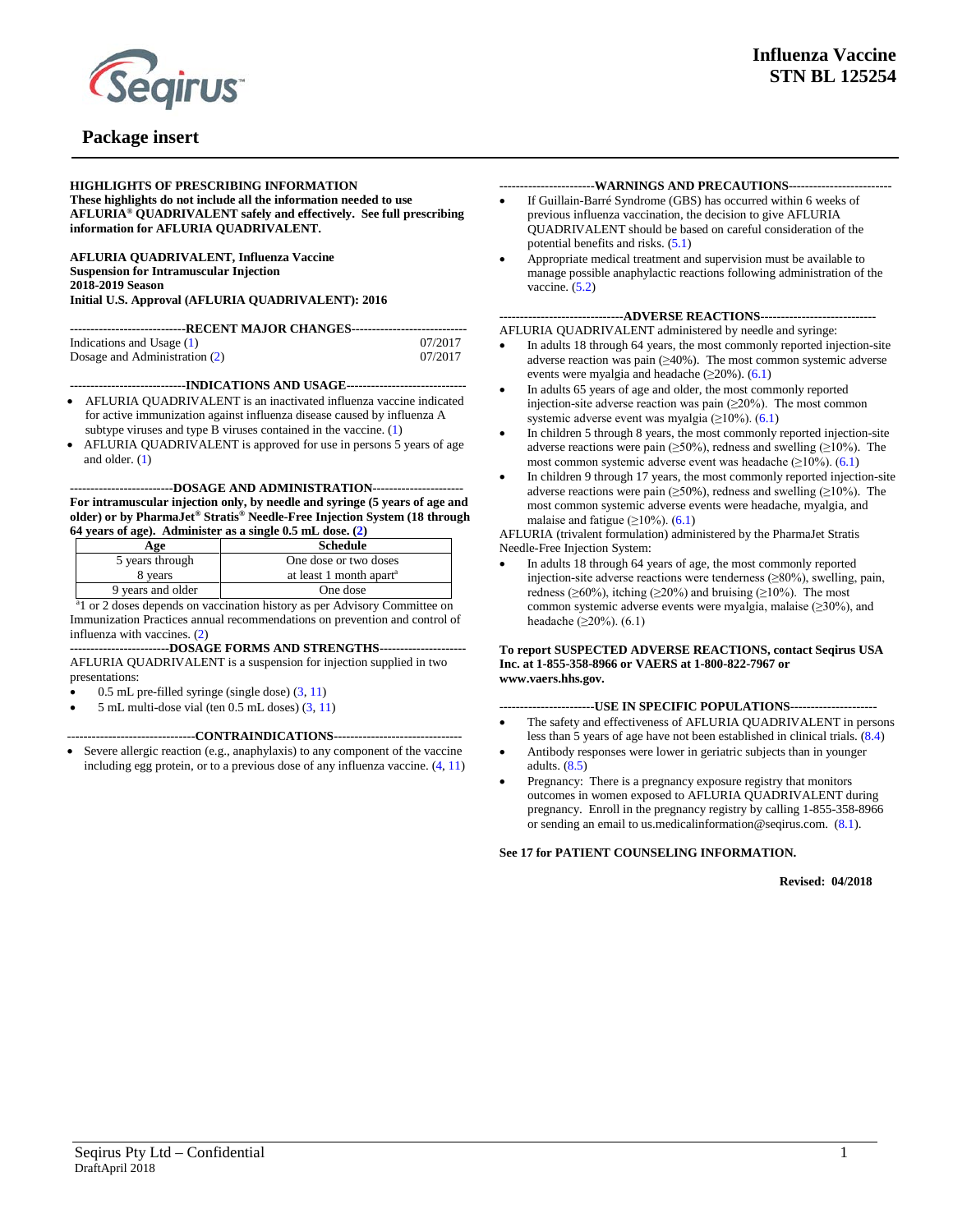

#### **HIGHLIGHTS OF PRESCRIBING INFORMATION These highlights do not include all the information needed to use AFLURIA® QUADRIVALENT safely and effectively. See full prescribing information for AFLURIA QUADRIVALENT.**

**AFLURIA QUADRIVALENT, Influenza Vaccine Suspension for Intramuscular Injection 2018-2019 Season Initial U.S. Approval (AFLURIA QUADRIVALENT): 2016**

| ---------------------------RECENT MAJOR CHANGES----------------------------- |         |  |  |  |  |
|------------------------------------------------------------------------------|---------|--|--|--|--|
|                                                                              |         |  |  |  |  |
| Indications and Usage $(1)$                                                  | 07/2017 |  |  |  |  |
| Dosage and Administration (2)                                                | 07/2017 |  |  |  |  |

**----------------------------INDICATIONS AND USAGE-----------------------------**

- AFLURIA QUADRIVALENT is an inactivated influenza vaccine indicated for active immunization against influenza disease caused by influenza A subtype viruses and type B viruses contained in the vaccine. [\(1\)](#page-3-0)
- AFLURIA QUADRIVALENT is approved for use in persons 5 years of age and older. [\(1\)](#page-3-0)

#### **-------------------------DOSAGE AND ADMINISTRATION---------------------- For intramuscular injection only, by needle and syringe (5 years of age and older) or by PharmaJet® Stratis® Needle-Free Injection System (18 through 64 years of age). Administer as a single 0.5 mL dose. [\(2\)](#page-3-2)**

| Age               | <b>Schedule</b>                     |
|-------------------|-------------------------------------|
| 5 years through   | One dose or two doses               |
| 8 years           | at least 1 month apart <sup>a</sup> |
| 9 years and older | One dose                            |

<sup>a</sup>l or 2 doses depends on vaccination history as per Advisory Committee on Immunization Practices annual recommendations on prevention and control of influenza with vaccines. [\(2\)](#page-3-2)

**------------------------DOSAGE FORMS AND STRENGTHS---------------------** AFLURIA QUADRIVALENT is a suspension for injection supplied in two presentations:

- 0.5 mL pre-filled syringe (single dose) [\(3,](#page-3-3) [11\)](#page-13-0)
- $5$  mL multi-dose vial (ten 0.5 mL doses)  $(3, 11)$  $(3, 11)$

--**-----------------------------CONTRAINDICATIONS-------------------------------**

Severe allergic reaction (e.g., anaphylaxis) to any component of the vaccine including egg protein, or to a previous dose of any influenza vaccine. [\(4,](#page-4-0) [11\)](#page-13-0)

#### **-----------------------WARNINGS AND PRECAUTIONS-------------------------**

- If Guillain-Barré Syndrome (GBS) has occurred within 6 weeks of previous influenza vaccination, the decision to give AFLURIA QUADRIVALENT should be based on careful consideration of the potential benefits and risks. [\(5.1\)](#page-4-1)
- Appropriate medical treatment and supervision must be available to manage possible anaphylactic reactions following administration of the vaccine. [\(5.2\)](#page-4-1)

#### **------------------------------ADVERSE REACTIONS----------------------------**

AFLURIA QUADRIVALENT administered by needle and syringe:

- In adults 18 through 64 years, the most commonly reported injection-site adverse reaction was pain (≥40%). The most common systemic adverse events were myalgia and headache  $(\geq 20\%)$ . [\(6.1\)](#page-5-0)
- In adults 65 years of age and older, the most commonly reported injection-site adverse reaction was pain (≥20%). The most common systemic adverse event was myalgia (≥10%). ([6.1\)](#page-5-0)
- In children 5 through 8 years, the most commonly reported injection-site adverse reactions were pain ( $\geq$ 50%), redness and swelling ( $\geq$ 10%). The most common systemic adverse event was headache  $(\geq 10\%)$ . ([6.1\)](#page-5-0)
- In children 9 through 17 years, the most commonly reported injection-site adverse reactions were pain ( $\geq$ 50%), redness and swelling ( $\geq$ 10%). The most common systemic adverse events were headache, myalgia, and malaise and fatigue  $(\geq 10\%)$ . ([6.1\)](#page-5-0)

#### AFLURIA (trivalent formulation) administered by the PharmaJet Stratis Needle-Free Injection System:

• In adults 18 through 64 years of age, the most commonly reported injection-site adverse reactions were tenderness  $(\geq 80\%)$ , swelling, pain, redness ( $\geq 60\%$ ), itching ( $\geq 20\%$ ) and bruising ( $\geq 10\%$ ). The most common systemic adverse events were myalgia, malaise (≥30%), and headache ( $\geq$ 20%). (6.1)

#### **To report SUSPECTED ADVERSE REACTIONS, contact Seqirus USA Inc. at 1-855-358-8966 or VAERS at 1-800-822-7967 or www.vaers.hhs.gov.**

#### *-***----------------------USE IN SPECIFIC POPULATIONS---------------------**

- The safety and effectiveness of AFLURIA QUADRIVALENT in persons less than 5 years of age have not been established in clinical trials. [\(8.4\)](#page-13-1)
- Antibody responses were lower in geriatric subjects than in younger adults. [\(8.5\)](#page-13-2)
- Pregnancy: There is a pregnancy exposure registry that monitors outcomes in women exposed to AFLURIA QUADRIVALENT during pregnancy. Enroll in the pregnancy registry by calling 1-855-358-8966 or sending an email to us.medicalinformation@seqirus.com. [\(8.1\)](#page-12-0).

#### **See 17 for PATIENT COUNSELING INFORMATION.**

#### **Revised: 04/2018**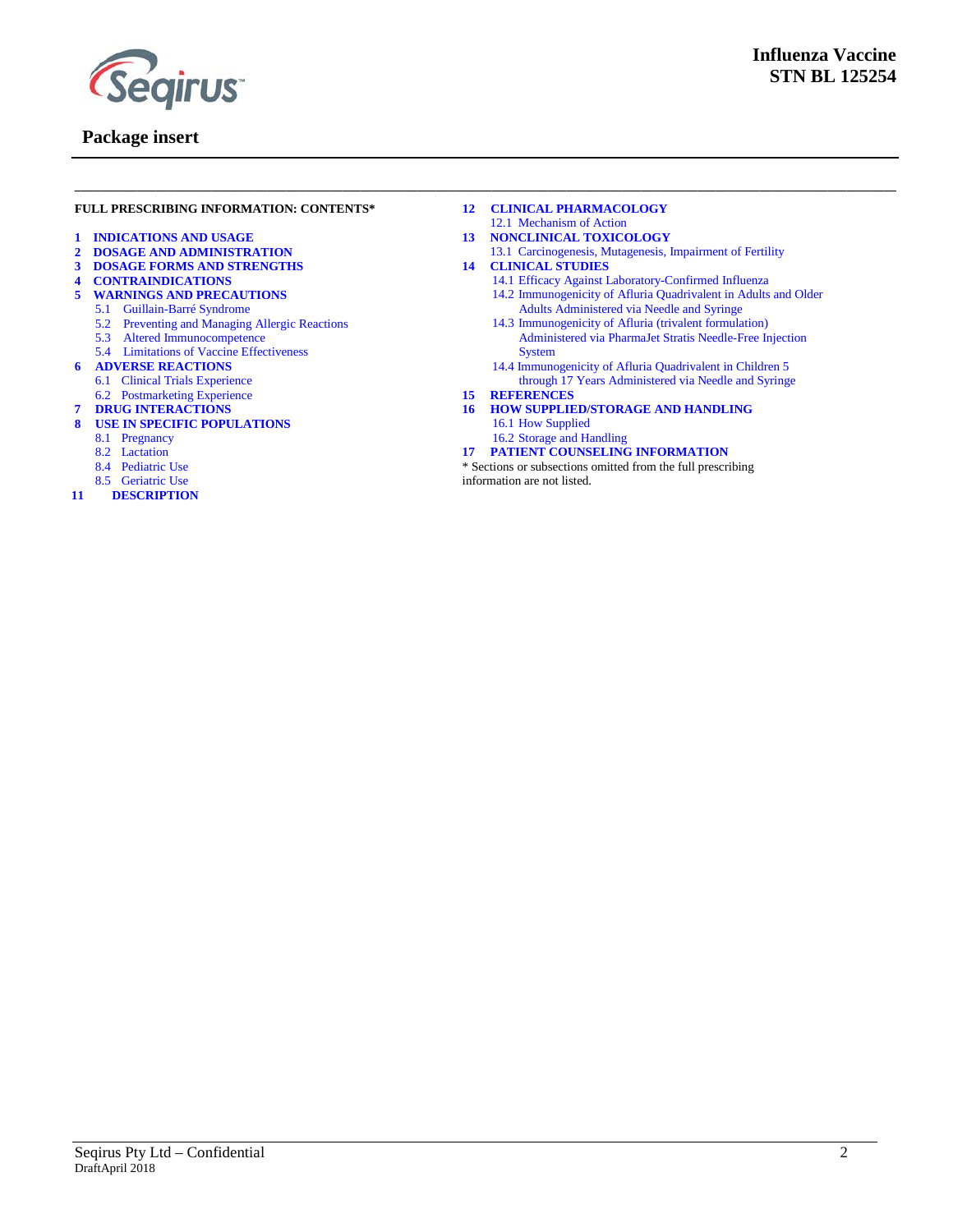

#### **FULL PRESCRIBING INFORMATION: CONTENTS\***

- **1 [INDICATIONS AND USAGE](#page-3-0)**
- **2 [DOSAGE AND ADMINISTRATION](#page-3-1)**
- **3 [DOSAGE FORMS AND STRENGTHS](#page-3-3)**
- **4 [CONTRAINDICATIONS](#page-4-0)**
- **5 [WARNINGS AND PRECAUTIONS](#page-4-2)**
	- 5.1 [Guillain-Barré Syndrome](#page-4-1)
	- 5.2 [Preventing and Managing Allergic Reactions](#page-4-3)
	- 5.3 [Altered Immunocompetence](#page-4-3)
	- 5.4 [Limitations of Vaccine Effectiveness](#page-4-4)
- **6 [ADVERSE REACTIONS](#page-4-5)**
	- 6.1 [Clinical Trials Experience](#page-5-0)
	- 6.2 [Postmarketing Experience](#page-5-1)
- **7 [DRUG INTERACTIONS](#page-12-1)**
- **8 [USE IN SPECIFIC POPULATIONS](#page-12-2)**
	- 8.1 [Pregnancy](#page-12-0)
	- 8.2 [Lactation](#page-13-3)
	- 8.4 [Pediatric Use](#page-13-1)
	- 8.5 [Geriatric Use](#page-13-2)
- **11 [DESCRIPTION](#page-13-0)**
- **12 [CLINICAL PHARMACOLOGY](#page-14-0)**
- 12.1 [Mechanism of Action](#page-14-1)
- **13 [NONCLINICAL TOXICOLOGY](#page-15-0)** 13.1 [Carcinogenesis, Mutagenesis, Impairment of Fertility](#page-15-1)
- **14 [CLINICAL STUDIES](#page-15-2)**

**\_\_\_\_\_\_\_\_\_\_\_\_\_\_\_\_\_\_\_\_\_\_\_\_\_\_\_\_\_\_\_\_\_\_\_\_\_\_\_\_\_\_\_\_\_\_\_\_\_\_\_\_\_\_\_\_\_\_\_\_\_\_\_\_\_\_\_\_\_\_\_\_\_\_\_\_\_\_\_\_\_\_\_\_\_\_\_\_\_\_\_\_\_\_\_\_\_\_\_\_\_\_\_\_\_\_\_\_\_\_\_\_\_\_\_\_\_\_\_\_\_\_\_\_\_\_\_\_\_\_\_\_**

- 14.1 [Efficacy Against Laboratory-Confirmed Influenza](#page-15-3)
- 14.2 [Immunogenicity of Afluria Quadrivalent in](#page-16-0) Adults and Older Adults Administered via Needle and Syringe
- 14.3 [Immunogenicity of Afluria \(trivalent formulation\)](#page-19-0) Administered via PharmaJet Stratis [Needle-Free Injection](#page-19-0)  [System](#page-19-0)
- 14.4 Immunogenicity of Afluria Quadrivalent in Children 5 through 17 Years Administered via Needle and Syringe
- **15 [REFERENCES](#page-20-0)**
- **16 [HOW SUPPLIED/STORAGE AND HANDLING](#page-22-0)** 16.1 [How Supplied](#page-22-1)
	- 16.2 [Storage and Handling](#page-22-2)
- **17 [PATIENT COUNSELING INFORMATION](#page-22-3)**
- \* Sections or subsections omitted from the full prescribing

information are not listed.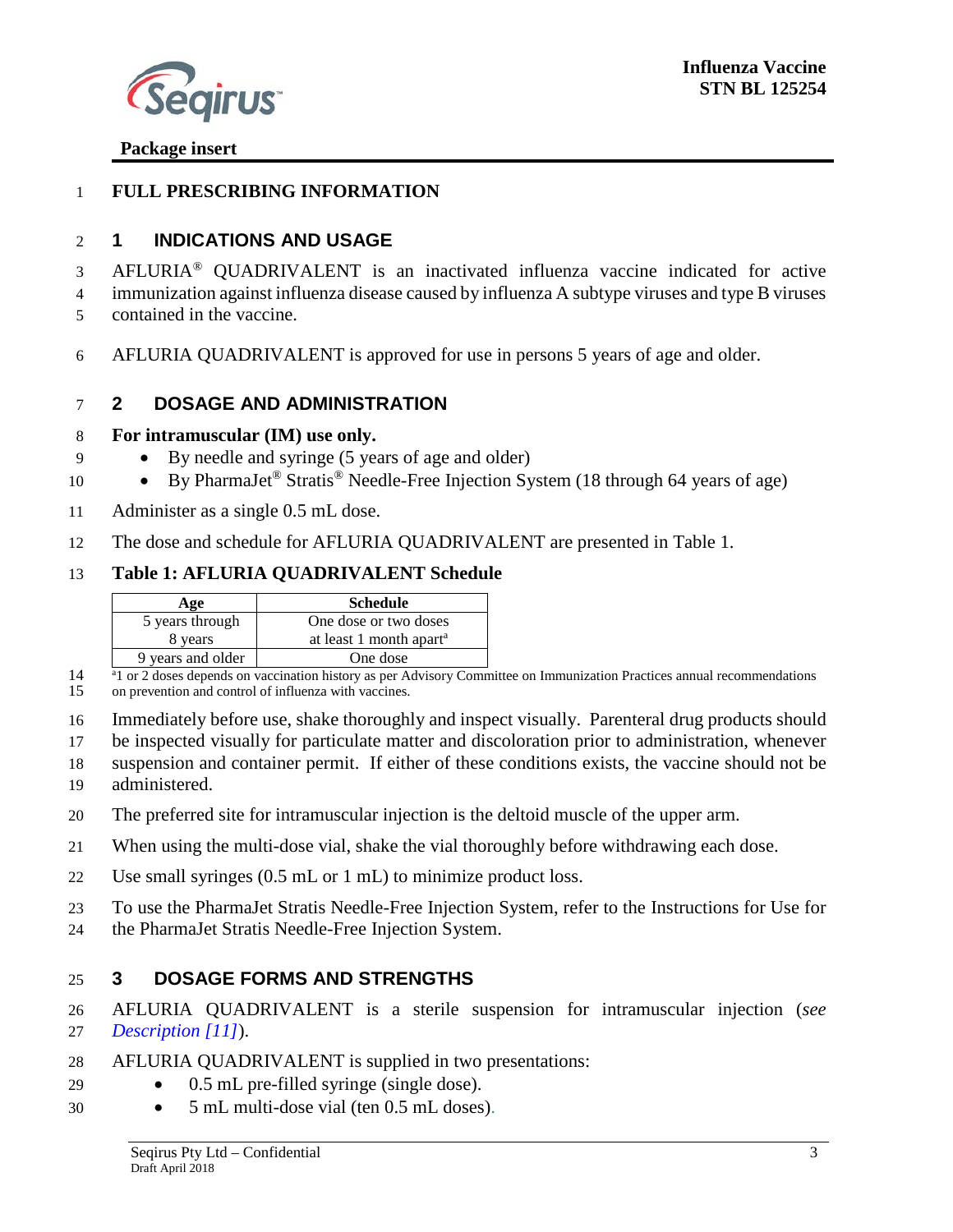

#### **FULL PRESCRIBING INFORMATION**

#### <span id="page-3-0"></span>**1 INDICATIONS AND USAGE**

3 AFLURIA<sup>®</sup> QUADRIVALENT is an inactivated influenza vaccine indicated for active immunization against influenza disease caused by influenza A subtype viruses and type B viruses

- contained in the vaccine.
- AFLURIA QUADRIVALENT is approved for use in persons 5 years of age and older.

### <span id="page-3-1"></span>**2 DOSAGE AND ADMINISTRATION**

#### **For intramuscular (IM) use only.**

- By needle and syringe (5 years of age and older)
- 10 By PharmaJet<sup>®</sup> Stratis<sup>®</sup> Needle-Free Injection System (18 through 64 years of age)
- Administer as a single 0.5 mL dose.
- The dose and schedule for AFLURIA QUADRIVALENT are presented in Table 1.

### **Table 1: AFLURIA QUADRIVALENT Schedule**

| Age               | <b>Schedule</b>                     |
|-------------------|-------------------------------------|
| 5 years through   | One dose or two doses               |
| 8 years           | at least 1 month apart <sup>a</sup> |
| 9 years and older | One dose                            |

<sup>a</sup> 1 or 2 doses depends on vaccination history as per Advisory Committee on Immunization Practices annual recommendations on prevention and control of influenza with vaccines.

<span id="page-3-2"></span>on prevention and control of influenza with vaccines.

Immediately before use, shake thoroughly and inspect visually. Parenteral drug products should

be inspected visually for particulate matter and discoloration prior to administration, whenever

suspension and container permit. If either of these conditions exists, the vaccine should not be

- administered.
- The preferred site for intramuscular injection is the deltoid muscle of the upper arm.
- When using the multi-dose vial, shake the vial thoroughly before withdrawing each dose.
- Use small syringes (0.5 mL or 1 mL) to minimize product loss.
- To use the PharmaJet Stratis Needle-Free Injection System, refer to the Instructions for Use for
- <span id="page-3-3"></span>the PharmaJet Stratis Needle-Free Injection System.

## **3 DOSAGE FORMS AND STRENGTHS**

 AFLURIA QUADRIVALENT is a sterile suspension for intramuscular injection (*see [Description \[11\]](#page-13-0)*).

- AFLURIA QUADRIVALENT is supplied in two presentations:
- 0.5 mL pre-filled syringe (single dose).
- 5 mL multi-dose vial (ten 0.5 mL doses).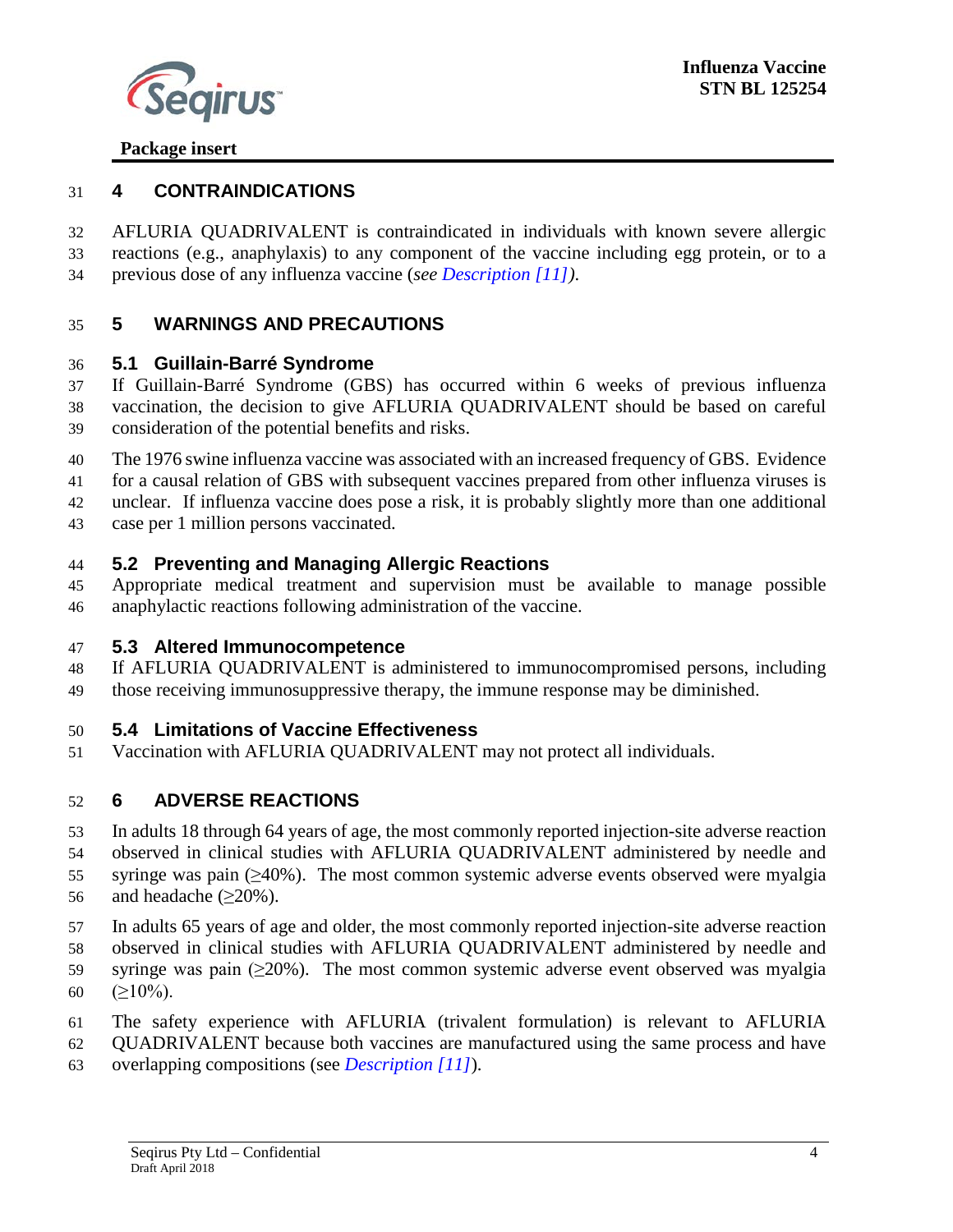

#### <span id="page-4-0"></span>**4 CONTRAINDICATIONS**

 AFLURIA QUADRIVALENT is contraindicated in individuals with known severe allergic reactions (e.g., anaphylaxis) to any component of the vaccine including egg protein, or to a previous dose of any influenza vaccine (*see [Description \[11\]\)](#page-13-0)*.

## <span id="page-4-2"></span>**5 WARNINGS AND PRECAUTIONS**

### <span id="page-4-1"></span>**5.1 Guillain-Barré Syndrome**

 If Guillain-Barré Syndrome (GBS) has occurred within 6 weeks of previous influenza vaccination, the decision to give AFLURIA QUADRIVALENT should be based on careful consideration of the potential benefits and risks.

The 1976 swine influenza vaccine was associated with an increased frequency of GBS. Evidence

for a causal relation of GBS with subsequent vaccines prepared from other influenza viruses is

unclear. If influenza vaccine does pose a risk, it is probably slightly more than one additional

<span id="page-4-3"></span>case per 1 million persons vaccinated.

### **5.2 Preventing and Managing Allergic Reactions**

 Appropriate medical treatment and supervision must be available to manage possible anaphylactic reactions following administration of the vaccine.

#### <span id="page-4-4"></span>**5.3 Altered Immunocompetence**

 If AFLURIA QUADRIVALENT is administered to immunocompromised persons, including those receiving immunosuppressive therapy, the immune response may be diminished.

## **5.4 Limitations of Vaccine Effectiveness**

<span id="page-4-5"></span>Vaccination with AFLURIA QUADRIVALENT may not protect all individuals.

## **6 ADVERSE REACTIONS**

In adults 18 through 64 years of age, the most commonly reported injection-site adverse reaction

- observed in clinical studies with AFLURIA QUADRIVALENT administered by needle and syringe was pain (≥40%). The most common systemic adverse events observed were myalgia
- 56 and headache  $(\geq 20\%)$ .
- In adults 65 years of age and older, the most commonly reported injection-site adverse reaction
- observed in clinical studies with AFLURIA QUADRIVALENT administered by needle and
- 59 syringe was pain  $(\geq 20\%)$ . The most common systemic adverse event observed was myalgia 60 ( $\geq$ 10%).
- The safety experience with AFLURIA (trivalent formulation) is relevant to AFLURIA
- QUADRIVALENT because both vaccines are manufactured using the same process and have
- overlapping compositions (see *[Description \[11\]](#page-13-0)*).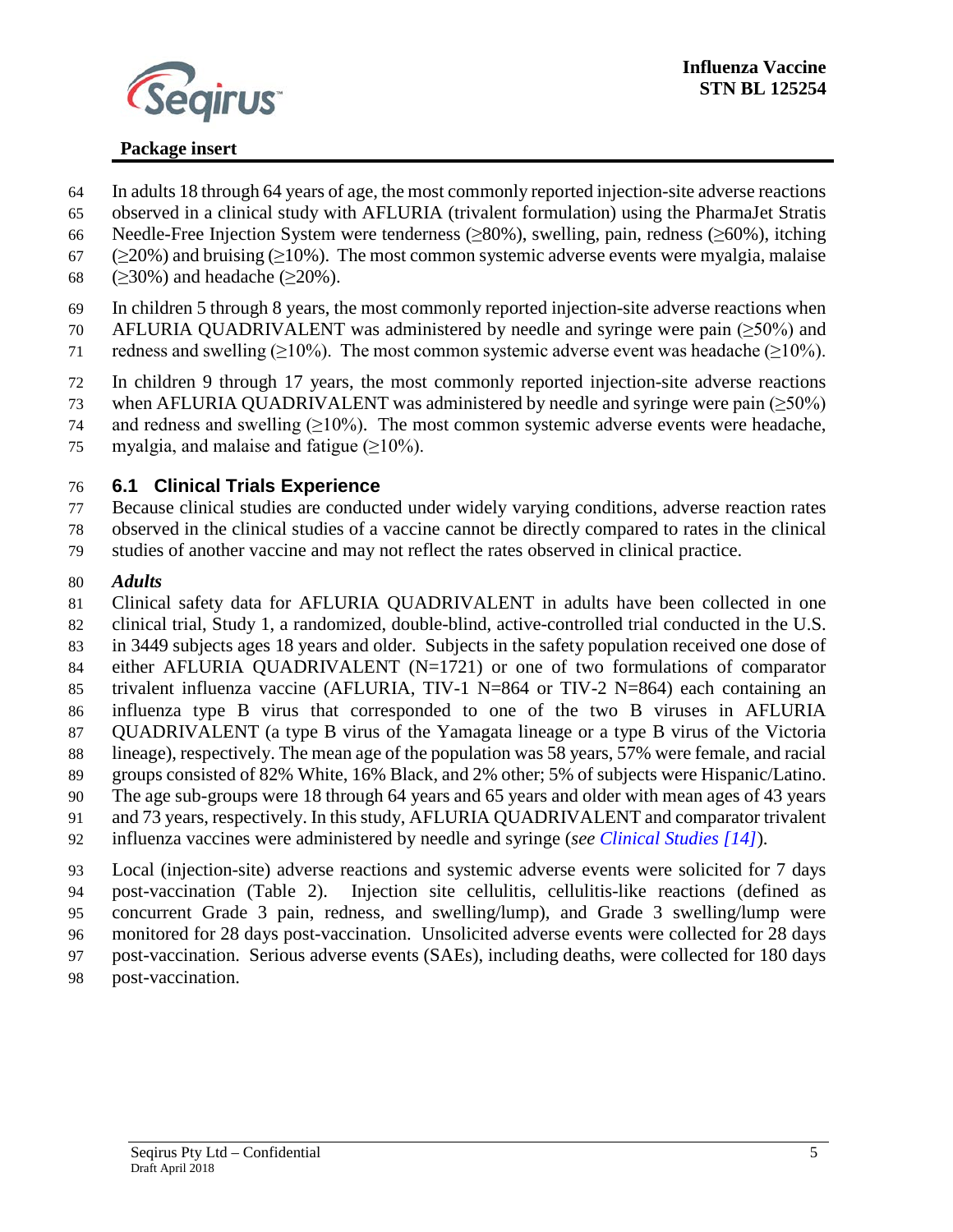

- In adults 18 through 64 years of age, the most commonly reported injection-site adverse reactions
- observed in a clinical study with AFLURIA (trivalent formulation) using the PharmaJet Stratis
- Needle-Free Injection System were tenderness (≥80%), swelling, pain, redness (≥60%), itching
- 67 ( $\geq$ 20%) and bruising ( $\geq$ 10%). The most common systemic adverse events were myalgia, malaise
- 68 ( $\geq$ 30%) and headache ( $\geq$ 20%).
- In children 5 through 8 years, the most commonly reported injection-site adverse reactions when
- AFLURIA QUADRIVALENT was administered by needle and syringe were pain (≥50%) and
- 71 redness and swelling ( $\geq$ 10%). The most common systemic adverse event was headache ( $\geq$ 10%).
- In children 9 through 17 years, the most commonly reported injection-site adverse reactions
- 73 when AFLURIA QUADRIVALENT was administered by needle and syringe were pain  $(\geq 50\%)$
- 74 and redness and swelling  $(\geq 10\%)$ . The most common systemic adverse events were headache,
- 75 myalgia, and malaise and fatigue (>10%).

# <span id="page-5-0"></span>**6.1 Clinical Trials Experience**

- Because clinical studies are conducted under widely varying conditions, adverse reaction rates
- observed in the clinical studies of a vaccine cannot be directly compared to rates in the clinical
- studies of another vaccine and may not reflect the rates observed in clinical practice.

## *Adults*

- <span id="page-5-1"></span>Clinical safety data for AFLURIA QUADRIVALENT in adults have been collected in one
- clinical trial, Study 1, a randomized, double-blind, active-controlled trial conducted in the U.S.
- in 3449 subjects ages 18 years and older. Subjects in the safety population received one dose of either AFLURIA QUADRIVALENT (N=1721) or one of two formulations of comparator
- trivalent influenza vaccine (AFLURIA, TIV-1 N=864 or TIV-2 N=864) each containing an
- influenza type B virus that corresponded to one of the two B viruses in AFLURIA QUADRIVALENT (a type B virus of the Yamagata lineage or a type B virus of the Victoria
- lineage), respectively. The mean age of the population was 58 years, 57% were female, and racial
- groups consisted of 82% White, 16% Black, and 2% other; 5% of subjects were Hispanic/Latino.
- The age sub-groups were 18 through 64 years and 65 years and older with mean ages of 43 years
- and 73 years, respectively. In thisstudy, AFLURIA QUADRIVALENT and comparator trivalent
- influenza vaccines were administered by needle and syringe (*see [Clinical Studies \[14\]](#page-15-2)*).
- Local (injection-site) adverse reactions and systemic adverse events were solicited for 7 days post-vaccination (Table 2). Injection site cellulitis, cellulitis-like reactions (defined as concurrent Grade 3 pain, redness, and swelling/lump), and Grade 3 swelling/lump were
- monitored for 28 days post-vaccination. Unsolicited adverse events were collected for 28 days
- post-vaccination. Serious adverse events (SAEs), including deaths, were collected for 180 days
- post-vaccination.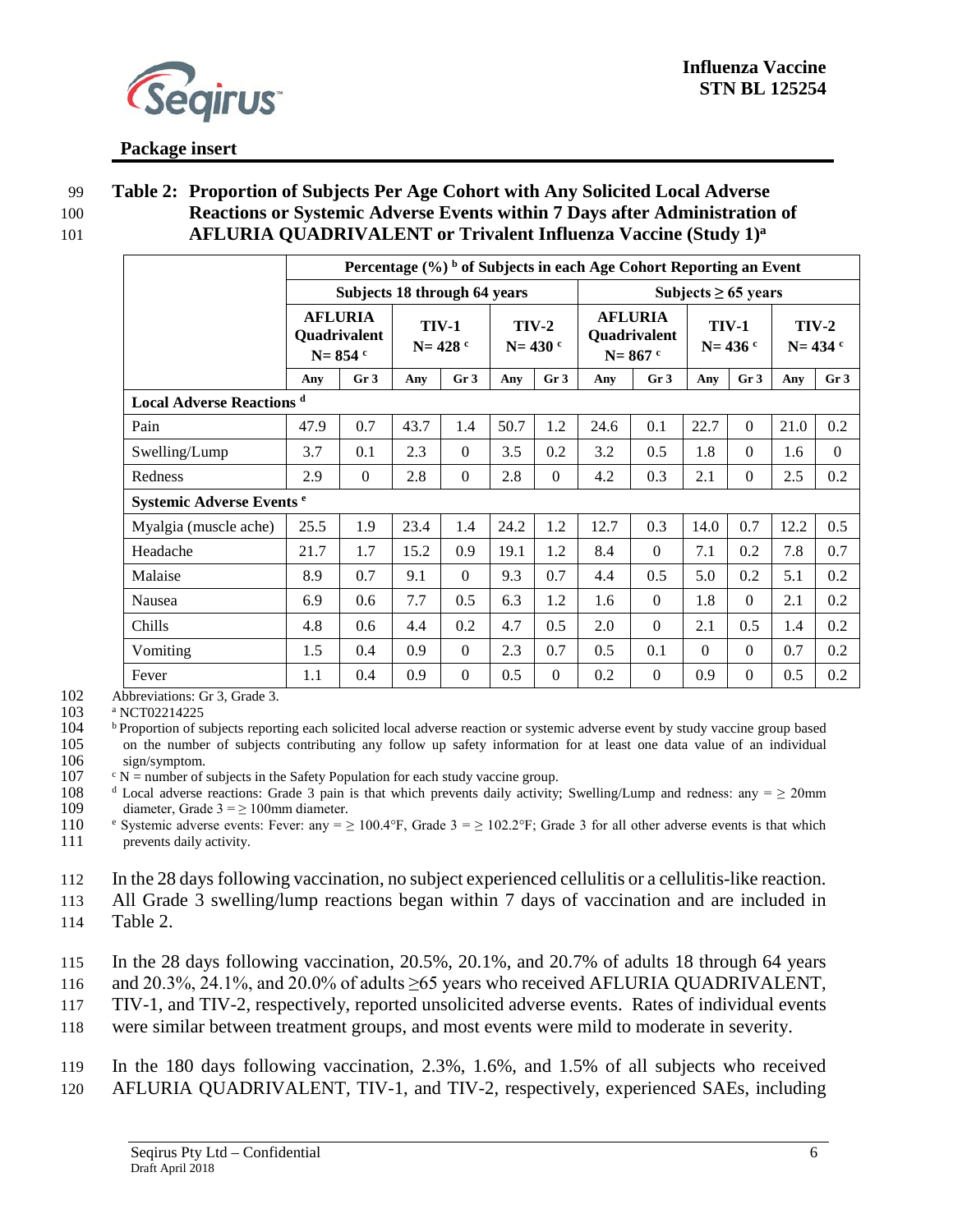

#### 99 **Table 2: Proportion of Subjects Per Age Cohort with Any Solicited Local Adverse**  100 **Reactions or Systemic Adverse Events within 7 Days after Administration of**  101 **AFLURIA QUADRIVALENT or Trivalent Influenza Vaccine (Study 1)<sup>a</sup>**

|                                             |                                                      | Percentage $(\%)$ b of Subjects in each Age Cohort Reporting an Event |                             |                 |                        |                 |                                               |                 |                             |                 |                             |                 |
|---------------------------------------------|------------------------------------------------------|-----------------------------------------------------------------------|-----------------------------|-----------------|------------------------|-----------------|-----------------------------------------------|-----------------|-----------------------------|-----------------|-----------------------------|-----------------|
|                                             |                                                      | Subjects 18 through 64 years                                          |                             |                 |                        |                 |                                               |                 | Subjects $\geq 65$ years    |                 |                             |                 |
|                                             | <b>AFLURIA</b><br><b>Quadrivalent</b><br>$N = 854$ c |                                                                       | <b>TIV-1</b><br>$N = 428$ c |                 | $TIV-2$<br>$N = 430$ c |                 | <b>AFLURIA</b><br>Quadrivalent<br>$N = 867$ c |                 | <b>TIV-1</b><br>$N = 436$ c |                 | <b>TIV-2</b><br>$N = 434$ c |                 |
|                                             | Any                                                  | Gr <sub>3</sub>                                                       | Any                         | Gr <sub>3</sub> | Any                    | Gr <sub>3</sub> | Any                                           | Gr <sub>3</sub> | Any                         | Gr <sub>3</sub> | Any                         | Gr <sub>3</sub> |
| <b>Local Adverse Reactions</b> <sup>d</sup> |                                                      |                                                                       |                             |                 |                        |                 |                                               |                 |                             |                 |                             |                 |
| Pain                                        | 47.9                                                 | 0.7                                                                   | 43.7                        | 1.4             | 50.7                   | 1.2             | 24.6                                          | 0.1             | 22.7                        | $\theta$        | 21.0                        | 0.2             |
| Swelling/Lump                               | 3.7                                                  | 0.1                                                                   | 2.3                         | $\theta$        | 3.5                    | 0.2             | 3.2                                           | 0.5             | 1.8                         | $\Omega$        | 1.6                         | $\Omega$        |
| Redness                                     | 2.9                                                  | $\Omega$                                                              | 2.8                         | $\overline{0}$  | 2.8                    | $\Omega$        | 4.2                                           | 0.3             | 2.1                         | $\Omega$        | 2.5                         | 0.2             |
| Systemic Adverse Events <sup>e</sup>        |                                                      |                                                                       |                             |                 |                        |                 |                                               |                 |                             |                 |                             |                 |
| Myalgia (muscle ache)                       | 25.5                                                 | 1.9                                                                   | 23.4                        | 1.4             | 24.2                   | 1.2             | 12.7                                          | 0.3             | 14.0                        | 0.7             | 12.2                        | 0.5             |
| Headache                                    | 21.7                                                 | 1.7                                                                   | 15.2                        | 0.9             | 19.1                   | 1.2             | 8.4                                           | $\theta$        | 7.1                         | 0.2             | 7.8                         | 0.7             |
| Malaise                                     | 8.9                                                  | 0.7                                                                   | 9.1                         | $\theta$        | 9.3                    | 0.7             | 4.4                                           | 0.5             | 5.0                         | 0.2             | 5.1                         | 0.2             |
| Nausea                                      | 6.9                                                  | 0.6                                                                   | 7.7                         | 0.5             | 6.3                    | 1.2             | 1.6                                           | $\overline{0}$  | 1.8                         | $\Omega$        | 2.1                         | 0.2             |
| Chills                                      | 4.8                                                  | 0.6                                                                   | 4.4                         | 0.2             | 4.7                    | 0.5             | 2.0                                           | $\theta$        | 2.1                         | 0.5             | 1.4                         | 0.2             |
| Vomiting                                    | 1.5                                                  | 0.4                                                                   | 0.9                         | $\theta$        | 2.3                    | 0.7             | 0.5                                           | 0.1             | $\Omega$                    | $\theta$        | 0.7                         | 0.2             |
| Fever                                       | 1.1                                                  | 0.4                                                                   | 0.9                         | $\Omega$        | 0.5                    | $\Omega$        | 0.2                                           | $\Omega$        | 0.9                         | $\theta$        | 0.5                         | 0.2             |

102 Abbreviations: Gr 3, Grade 3.<br>103 a NCT02214225

103 a NCT02214225<br>104 b Proportion of s <sup>b</sup> Proportion of subjects reporting each solicited local adverse reaction or systemic adverse event by study vaccine group based<br>105 on the number of subjects contributing any follow up safety information for at least one 105 on the number of subjects contributing any follow up safety information for at least one data value of an individual 106 sign/symptom.

106 sign/symptom.<br>107  $\text{c} \text{N} = \text{number of } s$  $107$  c N = number of subjects in the Safety Population for each study vaccine group.<br>108 d Local adverse reactions: Grade 3 pain is that which prevents daily activity:

<sup>d</sup> Local adverse reactions: Grade 3 pain is that which prevents daily activity; Swelling/Lump and redness: any =  $\geq$  20mm 109 diameter, Grade  $3 = \ge 100$ mm diameter.

110 <sup>e</sup> Systemic adverse events: Fever: any =  $\geq 100.4$ °F, Grade 3 =  $\geq 102.2$ °F; Grade 3 for all other adverse events is that which prevents daily activity. prevents daily activity.

112 In the 28 days following vaccination, no subject experienced cellulitis or a cellulitis-like reaction.

113 All Grade 3 swelling/lump reactions began within 7 days of vaccination and are included in

114 Table 2.

115 In the 28 days following vaccination, 20.5%, 20.1%, and 20.7% of adults 18 through 64 years

116 and 20.3%, 24.1%, and 20.0% of adults ≥65 years who received AFLURIA QUADRIVALENT,

117 TIV-1, and TIV-2, respectively, reported unsolicited adverse events. Rates of individual events

118 were similar between treatment groups, and most events were mild to moderate in severity.

119 In the 180 days following vaccination, 2.3%, 1.6%, and 1.5% of all subjects who received 120 AFLURIA QUADRIVALENT, TIV-1, and TIV-2, respectively, experienced SAEs, including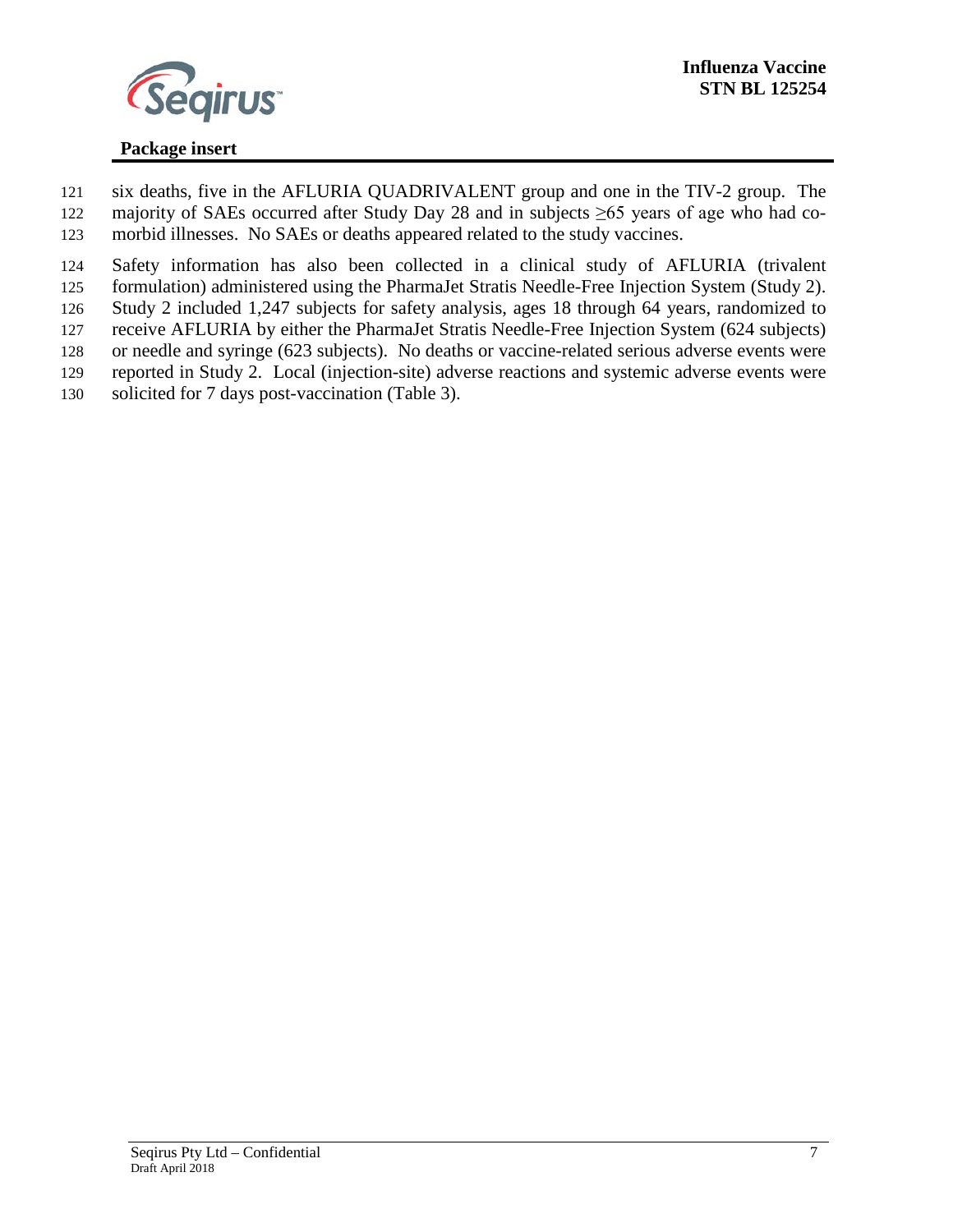

 six deaths, five in the AFLURIA QUADRIVALENT group and one in the TIV-2 group. The majority of SAEs occurred after Study Day 28 and in subjects ≥65 years of age who had co-morbid illnesses. No SAEs or deaths appeared related to the study vaccines.

 Safety information has also been collected in a clinical study of AFLURIA (trivalent formulation) administered using the PharmaJet Stratis Needle-Free Injection System (Study 2). Study 2 included 1,247 subjects for safety analysis, ages 18 through 64 years, randomized to receive AFLURIA by either the PharmaJet Stratis Needle-Free Injection System (624 subjects) or needle and syringe (623 subjects). No deaths or vaccine-related serious adverse events were

reported in Study 2. Local (injection-site) adverse reactions and systemic adverse events were

solicited for 7 days post-vaccination (Table 3).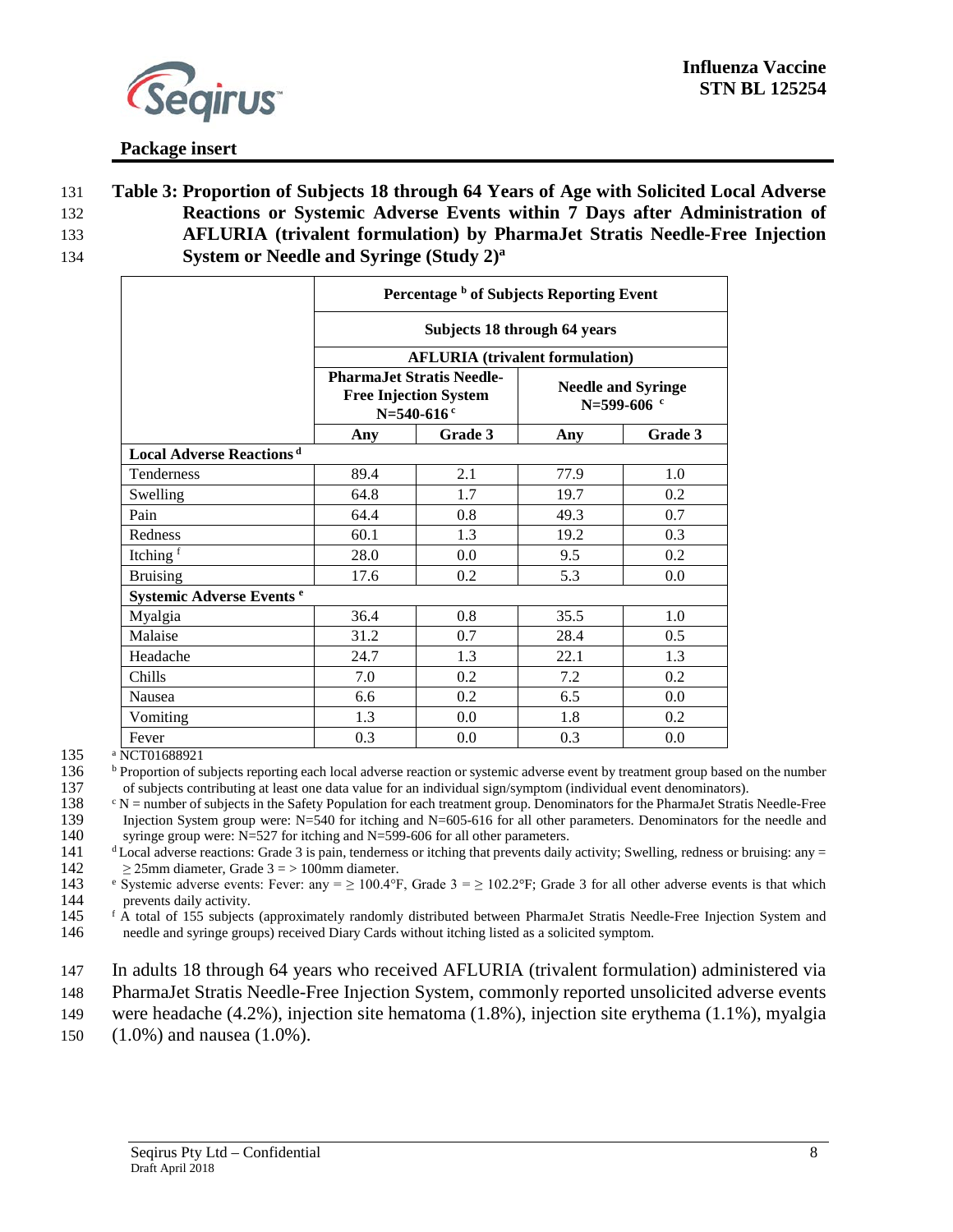

 **Table 3: Proportion of Subjects 18 through 64 Years of Age with Solicited Local Adverse Reactions or Systemic Adverse Events within 7 Days after Administration of AFLURIA (trivalent formulation) by PharmaJet Stratis Needle-Free Injection System or Needle and Syringe (Study 2)a** 134

|                                             | Percentage b of Subjects Reporting Event |                                                                  |                                          |         |  |  |  |  |
|---------------------------------------------|------------------------------------------|------------------------------------------------------------------|------------------------------------------|---------|--|--|--|--|
|                                             |                                          | Subjects 18 through 64 years                                     |                                          |         |  |  |  |  |
|                                             |                                          |                                                                  | <b>AFLURIA</b> (trivalent formulation)   |         |  |  |  |  |
|                                             | N=540-616 $c$                            | <b>PharmaJet Stratis Needle-</b><br><b>Free Injection System</b> | <b>Needle and Syringe</b><br>N=599-606 c |         |  |  |  |  |
|                                             | Any                                      | Grade 3                                                          | Any                                      | Grade 3 |  |  |  |  |
| <b>Local Adverse Reactions</b> <sup>d</sup> |                                          |                                                                  |                                          |         |  |  |  |  |
| <b>Tenderness</b>                           | 89.4                                     | 2.1                                                              | 77.9                                     | 1.0     |  |  |  |  |
| Swelling                                    | 64.8                                     | 1.7                                                              | 19.7                                     | 0.2     |  |  |  |  |
| Pain                                        | 64.4                                     | 0.8                                                              | 49.3                                     | 0.7     |  |  |  |  |
| Redness                                     | 60.1                                     | 1.3                                                              | 19.2                                     | 0.3     |  |  |  |  |
| Itching <sup>f</sup>                        | 28.0                                     | 0.0                                                              | 9.5                                      | 0.2     |  |  |  |  |
| <b>Bruising</b>                             | 17.6                                     | 0.2                                                              | 5.3                                      | 0.0     |  |  |  |  |
| Systemic Adverse Events <sup>e</sup>        |                                          |                                                                  |                                          |         |  |  |  |  |
| Myalgia                                     | 36.4                                     | 0.8                                                              | 35.5                                     | 1.0     |  |  |  |  |
| Malaise                                     | 31.2                                     | 0.7                                                              | 28.4                                     | 0.5     |  |  |  |  |
| Headache                                    | 24.7                                     | 1.3                                                              | 22.1                                     | 1.3     |  |  |  |  |
| Chills                                      | 7.0                                      | 0.2                                                              | 7.2                                      | 0.2     |  |  |  |  |
| Nausea                                      | 6.6                                      | 0.2                                                              | 6.5                                      | 0.0     |  |  |  |  |
| Vomiting                                    | 1.3                                      | 0.0                                                              | 1.8                                      | 0.2     |  |  |  |  |
| Fever                                       | 0.3                                      | 0.0                                                              | 0.3                                      | 0.0     |  |  |  |  |

135 <sup>a</sup> NCT01688921

<sup>b</sup> Proportion of subjects reporting each local adverse reaction or systemic adverse event by treatment group based on the number

137 of subjects contributing at least one data value for an individual sign/symptom (individual event denominators).<br>138  $\cdot N$  = number of subjects in the Safety Population for each treatment group. Denominators for the P <sup>c</sup> N = number of subjects in the Safety Population for each treatment group. Denominators for the PharmaJet Stratis Needle-Free<br>139 Injection System group were: N=540 for itching and N=605-616 for all other parameters. De 139 Injection System group were:  $N=540$  for itching and  $N=605-616$  for all other parameters. Denominators for the needle and syringe group were:  $N=527$  for itching and  $N=599-606$  for all other parameters. syringe group were:  $N=527$  for itching and  $N=599-606$  for all other parameters.

 $\frac{dI_1}{dt}$   $\frac{dI_2}{dt}$  Local adverse reactions: Grade 3 is pain, tenderness or itching that prevents daily activity; Swelling, redness or bruising: any = 225mm diameter. Grade 3 = > 100mm diameter. 142  $\geq 25$ mm diameter, Grade 3 = > 100mm diameter.<br>143 • Systemic adverse events: Fever: any =  $\geq 100.4$ °F

143 Systemic adverse events: Fever: any =  $\geq$  100.4°F, Grade 3 =  $\geq$  102.2°F; Grade 3 for all other adverse events is that which prevents daily activity. 144 prevents daily activity.<br>145 f A total of 155 subjects

<sup>f</sup> A total of 155 subjects (approximately randomly distributed between PharmaJet Stratis Needle-Free Injection System and 146 needle and syringe groups) received Diary Cards without itching listed as a solicited symptom.

147 In adults 18 through 64 years who received AFLURIA (trivalent formulation) administered via

148 PharmaJet Stratis Needle-Free Injection System, commonly reported unsolicited adverse events

- 149 were headache (4.2%), injection site hematoma (1.8%), injection site erythema (1.1%), myalgia
- 150 (1.0%) and nausea (1.0%).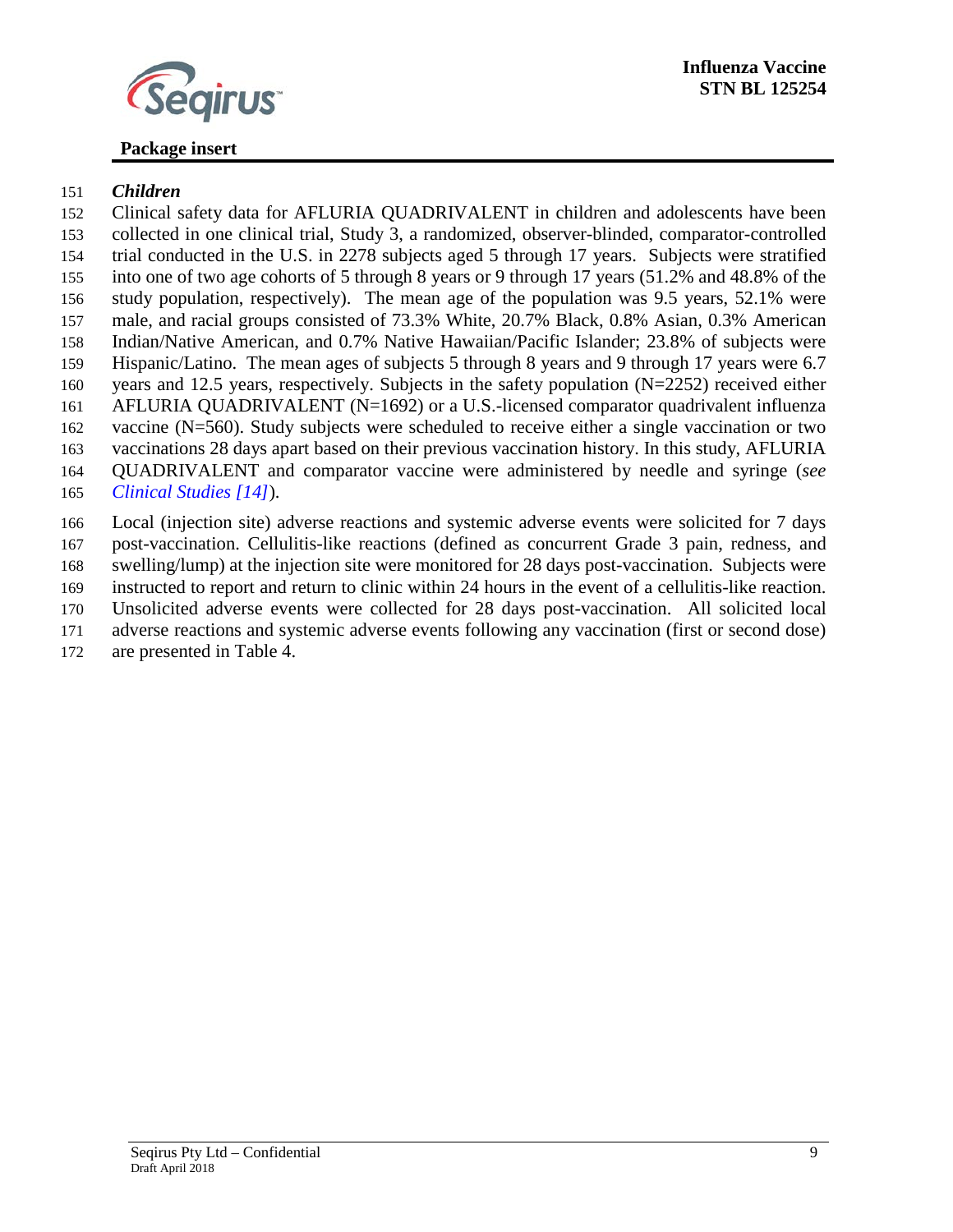

#### **Influenza Vaccine STN BL 125254**

## **Package insert**

#### *Children*

 Clinical safety data for AFLURIA QUADRIVALENT in children and adolescents have been collected in one clinical trial, Study 3, a randomized, observer-blinded, comparator-controlled trial conducted in the U.S. in 2278 subjects aged 5 through 17 years. Subjects were stratified into one of two age cohorts of 5 through 8 years or 9 through 17 years (51.2% and 48.8% of the study population, respectively). The mean age of the population was 9.5 years, 52.1% were male, and racial groups consisted of 73.3% White, 20.7% Black, 0.8% Asian, 0.3% American Indian/Native American, and 0.7% Native Hawaiian/Pacific Islander; 23.8% of subjects were Hispanic/Latino. The mean ages of subjects 5 through 8 years and 9 through 17 years were 6.7 years and 12.5 years, respectively. Subjects in the safety population (N=2252) received either AFLURIA QUADRIVALENT (N=1692) or a U.S.-licensed comparator quadrivalent influenza vaccine (N=560). Study subjects were scheduled to receive either a single vaccination or two vaccinations 28 days apart based on their previous vaccination history. In this study, AFLURIA QUADRIVALENT and comparator vaccine were administered by needle and syringe (*see [Clinical Studies \[14\]](#page-15-2)*).

 Local (injection site) adverse reactions and systemic adverse events were solicited for 7 days post-vaccination. Cellulitis-like reactions (defined as concurrent Grade 3 pain, redness, and swelling/lump) at the injection site were monitored for 28 days post-vaccination. Subjects were instructed to report and return to clinic within 24 hours in the event of a cellulitis-like reaction.

 Unsolicited adverse events were collected for 28 days post-vaccination. All solicited local adverse reactions and systemic adverse events following any vaccination (first or second dose)

are presented in Table 4.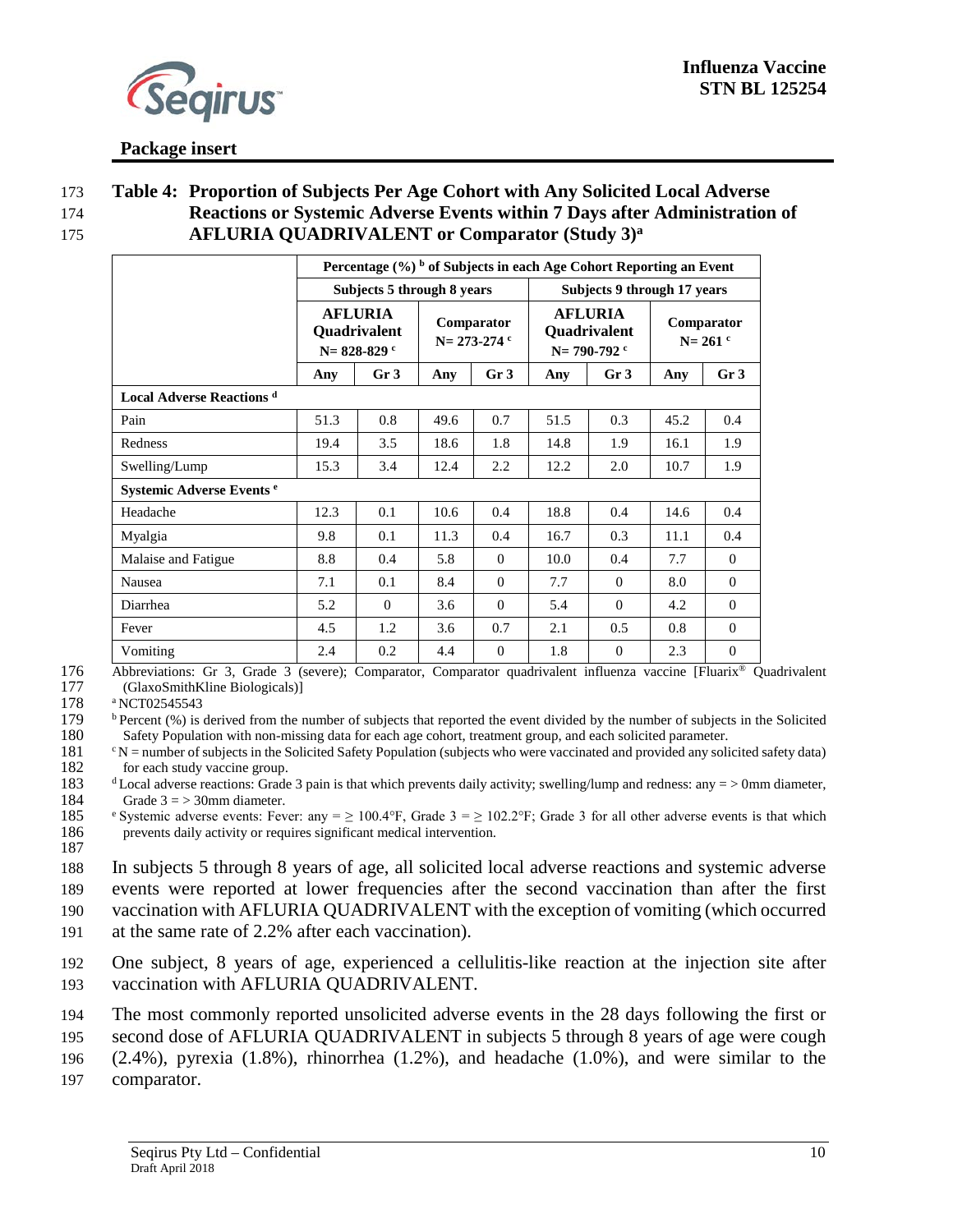

#### 173 **Table 4: Proportion of Subjects Per Age Cohort with Any Solicited Local Adverse**  174 **Reactions or Systemic Adverse Events within 7 Days after Administration of AFLURIA QUADRIVALENT or Comparator (Study 3)a** 175

|                                      |                                                     | Percentage (%) b of Subjects in each Age Cohort Reporting an Event |                                 |                 |                                                 |                             |                           |                  |
|--------------------------------------|-----------------------------------------------------|--------------------------------------------------------------------|---------------------------------|-----------------|-------------------------------------------------|-----------------------------|---------------------------|------------------|
|                                      |                                                     | Subjects 5 through 8 years                                         |                                 |                 |                                                 | Subjects 9 through 17 years |                           |                  |
|                                      | <b>AFLURIA</b><br>Quadrivalent<br>$N = 828 - 829$ c |                                                                    | Comparator<br>$N = 273 - 274$ c |                 | <b>AFLURIA</b><br>Quadrivalent<br>$N = 790-792$ |                             | Comparator<br>$N = 261$ c |                  |
|                                      | Any                                                 | Gr <sub>3</sub>                                                    | Any                             | Gr <sub>3</sub> | Any                                             | Gr <sub>3</sub>             | Any                       | Gr <sub>3</sub>  |
| <b>Local Adverse Reactions</b> d     |                                                     |                                                                    |                                 |                 |                                                 |                             |                           |                  |
| Pain                                 | 51.3                                                | 0.8                                                                | 49.6                            | 0.7             | 51.5                                            | 0.3                         | 45.2                      | 0.4              |
| Redness                              | 19.4                                                | 3.5                                                                | 18.6                            | 1.8             | 14.8                                            | 1.9                         | 16.1                      | 1.9              |
| Swelling/Lump                        | 15.3                                                | 3.4                                                                | 12.4                            | 2.2             | 12.2                                            | 2.0                         | 10.7                      | 1.9              |
| Systemic Adverse Events <sup>e</sup> |                                                     |                                                                    |                                 |                 |                                                 |                             |                           |                  |
| Headache                             | 12.3                                                | 0.1                                                                | 10.6                            | 0.4             | 18.8                                            | 0.4                         | 14.6                      | 0.4              |
| Myalgia                              | 9.8                                                 | 0.1                                                                | 11.3                            | 0.4             | 16.7                                            | 0.3                         | 11.1                      | 0.4              |
| Malaise and Fatigue                  | 8.8                                                 | 0.4                                                                | 5.8                             | $\theta$        | 10.0                                            | 0.4                         | 7.7                       | $\overline{0}$   |
| Nausea                               | 7.1                                                 | 0.1                                                                | 8.4                             | $\Omega$        | 7.7                                             | $\Omega$                    | 8.0                       | $\Omega$         |
| Diarrhea                             | 5.2                                                 | $\Omega$                                                           | 3.6                             | $\Omega$        | 5.4                                             | $\Omega$                    | 4.2                       | $\Omega$         |
| Fever                                | 4.5                                                 | 1.2                                                                | 3.6                             | 0.7             | 2.1                                             | 0.5                         | 0.8                       | $\mathbf{0}$     |
| Vomiting                             | 2.4                                                 | 0.2                                                                | 4.4                             | $\theta$        | 1.8                                             | $\mathbf{0}$                | 2.3                       | $\boldsymbol{0}$ |

176 Abbreviations: Gr 3, Grade 3 (severe); Comparator, Comparator quadrivalent influenza vaccine [Fluarix<sup>®</sup> Quadrivalent 177 (GlaxoSmithKline Biologicals)]

177 (GlaxoSmithKline Biologicals)]<br>178 <sup>a</sup>NCT02545543

178 a NCT02545543<br>179 b Percent (%) is

<sup>b</sup> Percent (%) is derived from the number of subjects that reported the event divided by the number of subjects in the Solicited Safety Population with non-missing data for each age cohort, treatment group, and each solic 180 Safety Population with non-missing data for each age cohort, treatment group, and each solicited parameter.<br>181  $\text{rN} = \text{number of subjects in the Solicited Safety Population (subjects who were vaccinated and provided any solit$ 

<sup>c</sup>N = number of subjects in the Solicited Safety Population (subjects who were vaccinated and provided any solicited safety data)<br>182 for each study vaccine group.

183  $\frac{d}{d}$  Local adverse reactions: Grade 3 pain is that which prevents daily activity; swelling/lump and redness: any = > 0mm diameter, 184 Grade  $3 = > 30$ mm diameter.

185 Systemic adverse events: Fever: any =  $\geq 100.4$ °F, Grade 3 =  $\geq 102.2$ °F; Grade 3 for all other adverse events is that which 186 prevents daily activity or requires significant medical intervention.

187

188 In subjects 5 through 8 years of age, all solicited local adverse reactions and systemic adverse

189 events were reported at lower frequencies after the second vaccination than after the first 190 vaccination with AFLURIA QUADRIVALENT with the exception of vomiting (which occurred

191 at the same rate of 2.2% after each vaccination).

192 One subject, 8 years of age, experienced a cellulitis-like reaction at the injection site after 193 vaccination with AFLURIA QUADRIVALENT.

194 The most commonly reported unsolicited adverse events in the 28 days following the first or

195 second dose of AFLURIA QUADRIVALENT in subjects 5 through 8 years of age were cough

196 (2.4%), pyrexia (1.8%), rhinorrhea (1.2%), and headache (1.0%), and were similar to the

197 comparator.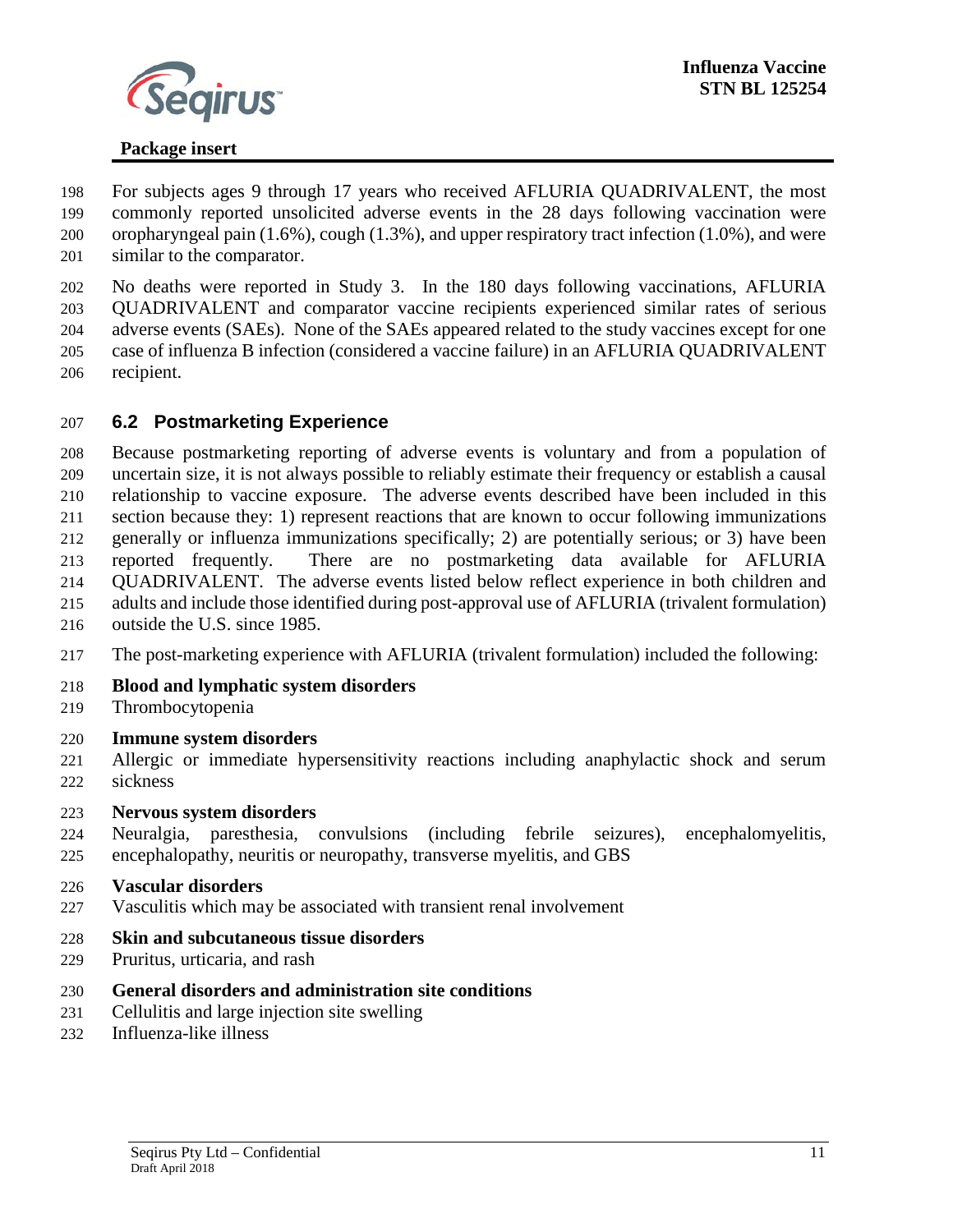

 For subjects ages 9 through 17 years who received AFLURIA QUADRIVALENT, the most commonly reported unsolicited adverse events in the 28 days following vaccination were oropharyngeal pain (1.6%), cough (1.3%), and upper respiratory tract infection (1.0%), and were similar to the comparator.

 No deaths were reported in Study 3. In the 180 days following vaccinations, AFLURIA QUADRIVALENT and comparator vaccine recipients experienced similar rates of serious adverse events (SAEs). None of the SAEs appeared related to the study vaccines except for one case of influenza B infection (considered a vaccine failure) in an AFLURIA QUADRIVALENT recipient.

#### **6.2 Postmarketing Experience**

 Because postmarketing reporting of adverse events is voluntary and from a population of uncertain size, it is not always possible to reliably estimate their frequency or establish a causal relationship to vaccine exposure. The adverse events described have been included in this section because they: 1) represent reactions that are known to occur following immunizations generally or influenza immunizations specifically; 2) are potentially serious; or 3) have been reported frequently. There are no postmarketing data available for AFLURIA QUADRIVALENT. The adverse events listed below reflect experience in both children and adults and include those identified during post-approval use of AFLURIA (trivalent formulation) outside the U.S. since 1985.

- The post-marketing experience with AFLURIA (trivalent formulation) included the following:
- **Blood and lymphatic system disorders**
- Thrombocytopenia
- **Immune system disorders**
- Allergic or immediate hypersensitivity reactions including anaphylactic shock and serum sickness
- **Nervous system disorders**
- Neuralgia, paresthesia, convulsions (including febrile seizures), encephalomyelitis, encephalopathy, neuritis or neuropathy, transverse myelitis, and GBS

#### **Vascular disorders**

- Vasculitis which may be associated with transient renal involvement
- **Skin and subcutaneous tissue disorders**
- Pruritus, urticaria, and rash
- **General disorders and administration site conditions**
- Cellulitis and large injection site swelling
- Influenza-like illness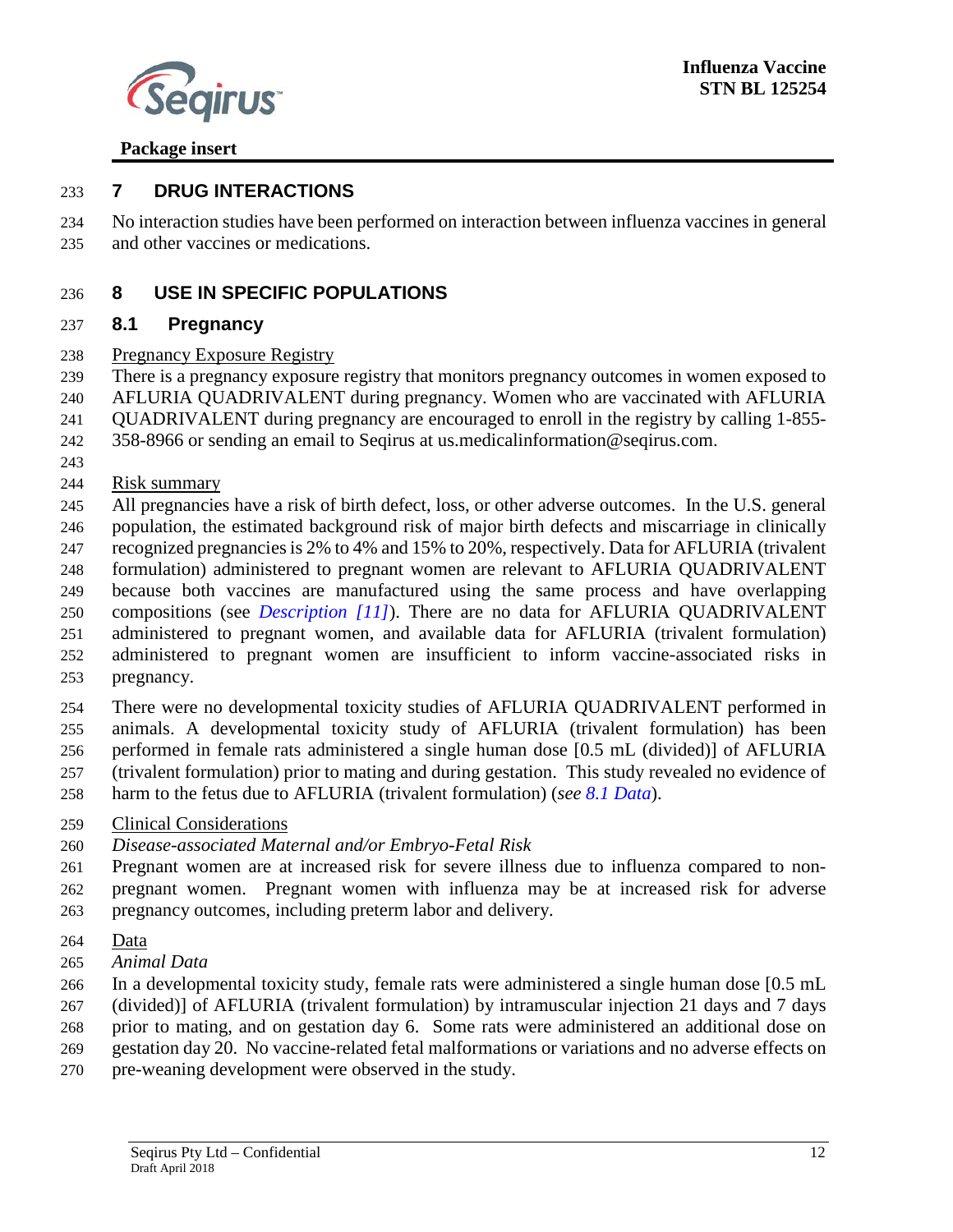

#### <span id="page-12-1"></span>**7 DRUG INTERACTIONS**

 No interaction studies have been performed on interaction between influenza vaccines in general and other vaccines or medications.

### <span id="page-12-2"></span>**8 USE IN SPECIFIC POPULATIONS**

#### <span id="page-12-0"></span>**8.1 Pregnancy**

#### Pregnancy Exposure Registry

 There is a pregnancy exposure registry that monitors pregnancy outcomes in women exposed to AFLURIA QUADRIVALENT during pregnancy. Women who are vaccinated with AFLURIA

QUADRIVALENT during pregnancy are encouraged to enroll in the registry by calling 1-855-

358-8966 or sending an email to Seqirus at us.medicalinformation@seqirus.com.

Risk summary

 All pregnancies have a risk of birth defect, loss, or other adverse outcomes. In the U.S. general population, the estimated background risk of major birth defects and miscarriage in clinically

- recognized pregnancies is 2% to 4% and 15% to 20%, respectively. Data for AFLURIA (trivalent
- formulation) administered to pregnant women are relevant to AFLURIA QUADRIVALENT
- because both vaccines are manufactured using the same process and have overlapping
- compositions (see *[Description](#page-13-0) [11]*). There are no data for AFLURIA QUADRIVALENT
- administered to pregnant women, and available data for AFLURIA (trivalent formulation)
- administered to pregnant women are insufficient to inform vaccine-associated risks in
- pregnancy.

There were no developmental toxicity studies of AFLURIA QUADRIVALENT performed in

animals. A developmental toxicity study of AFLURIA (trivalent formulation) has been

performed in female rats administered a single human dose [0.5 mL (divided)] of AFLURIA

- (trivalent formulation) prior to mating and during gestation. This study revealed no evidence of
- harm to the fetus due to AFLURIA (trivalent formulation) (*see [8.1 Data](#page-12-0)*).
- Clinical Considerations
- *Disease-associated Maternal and/or Embryo-Fetal Risk*
- Pregnant women are at increased risk for severe illness due to influenza compared to non-
- pregnant women. Pregnant women with influenza may be at increased risk for adverse pregnancy outcomes, including preterm labor and delivery.
- Data
- *Animal Data*
- In a developmental toxicity study, female rats were administered a single human dose [0.5 mL
- (divided)] of AFLURIA (trivalent formulation) by intramuscular injection 21 days and 7 days
- prior to mating, and on gestation day 6. Some rats were administered an additional dose on
- gestation day 20. No vaccine-related fetal malformations or variations and no adverse effects on
- pre-weaning development were observed in the study.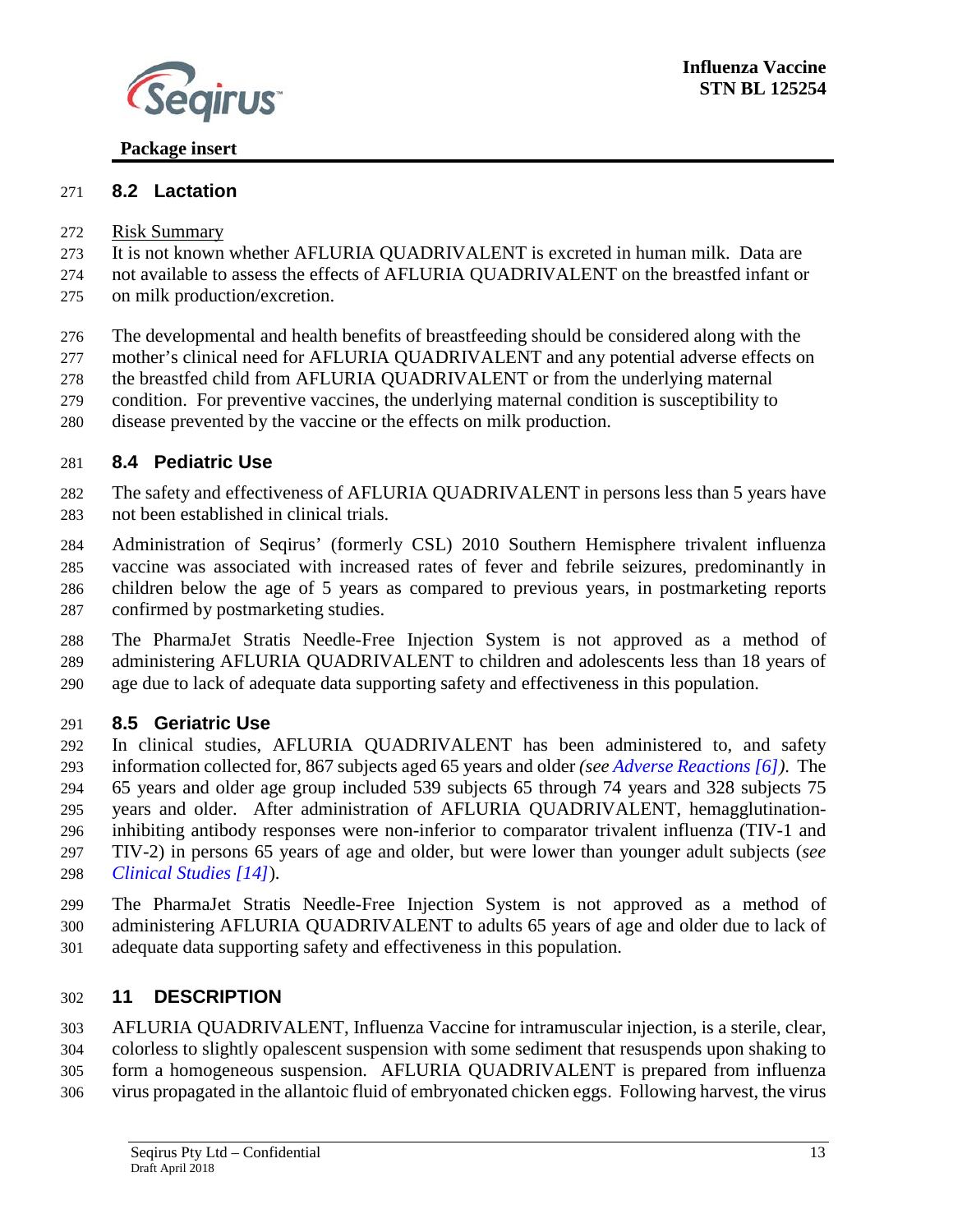

# <span id="page-13-3"></span>**8.2 Lactation**

- Risk Summary
- It is not known whether AFLURIA QUADRIVALENT is excreted in human milk. Data are
- not available to assess the effects of AFLURIA QUADRIVALENT on the breastfed infant or on milk production/excretion.
- The developmental and health benefits of breastfeeding should be considered along with the
- mother's clinical need for AFLURIA QUADRIVALENT and any potential adverse effects on
- the breastfed child from AFLURIA QUADRIVALENT or from the underlying maternal
- condition. For preventive vaccines, the underlying maternal condition is susceptibility to
- disease prevented by the vaccine or the effects on milk production.

### <span id="page-13-1"></span>**8.4 Pediatric Use**

- The safety and effectiveness of AFLURIA QUADRIVALENT in persons less than 5 years have not been established in clinical trials.
- Administration of Seqirus' (formerly CSL) 2010 Southern Hemisphere trivalent influenza vaccine was associated with increased rates of fever and febrile seizures, predominantly in children below the age of 5 years as compared to previous years, in postmarketing reports confirmed by postmarketing studies.
- The PharmaJet Stratis Needle-Free Injection System is not approved as a method of administering AFLURIA QUADRIVALENT to children and adolescents less than 18 years of age due to lack of adequate data supporting safety and effectiveness in this population.

## <span id="page-13-2"></span>**8.5 Geriatric Use**

- In clinical studies, AFLURIA QUADRIVALENT has been administered to, and safety information collected for, 867 subjects aged 65 years and older *(see [Adverse Reactions \[6\]\)](#page-4-5)*. The 65 years and older age group included 539 subjects 65 through 74 years and 328 subjects 75 years and older. After administration of AFLURIA QUADRIVALENT, hemagglutination- inhibiting antibody responses were non-inferior to comparator trivalent influenza (TIV-1 and TIV-2) in persons 65 years of age and older, but were lower than younger adult subjects (*see [Clinical Studies \[14\]](#page-15-2)*).
- The PharmaJet Stratis Needle-Free Injection System is not approved as a method of administering AFLURIA QUADRIVALENT to adults 65 years of age and older due to lack of adequate data supporting safety and effectiveness in this population.

#### <span id="page-13-0"></span>**11 DESCRIPTION**

 AFLURIA QUADRIVALENT, Influenza Vaccine for intramuscular injection, is a sterile, clear, colorless to slightly opalescent suspension with some sediment that resuspends upon shaking to form a homogeneous suspension. AFLURIA QUADRIVALENT is prepared from influenza virus propagated in the allantoic fluid of embryonated chicken eggs. Following harvest, the virus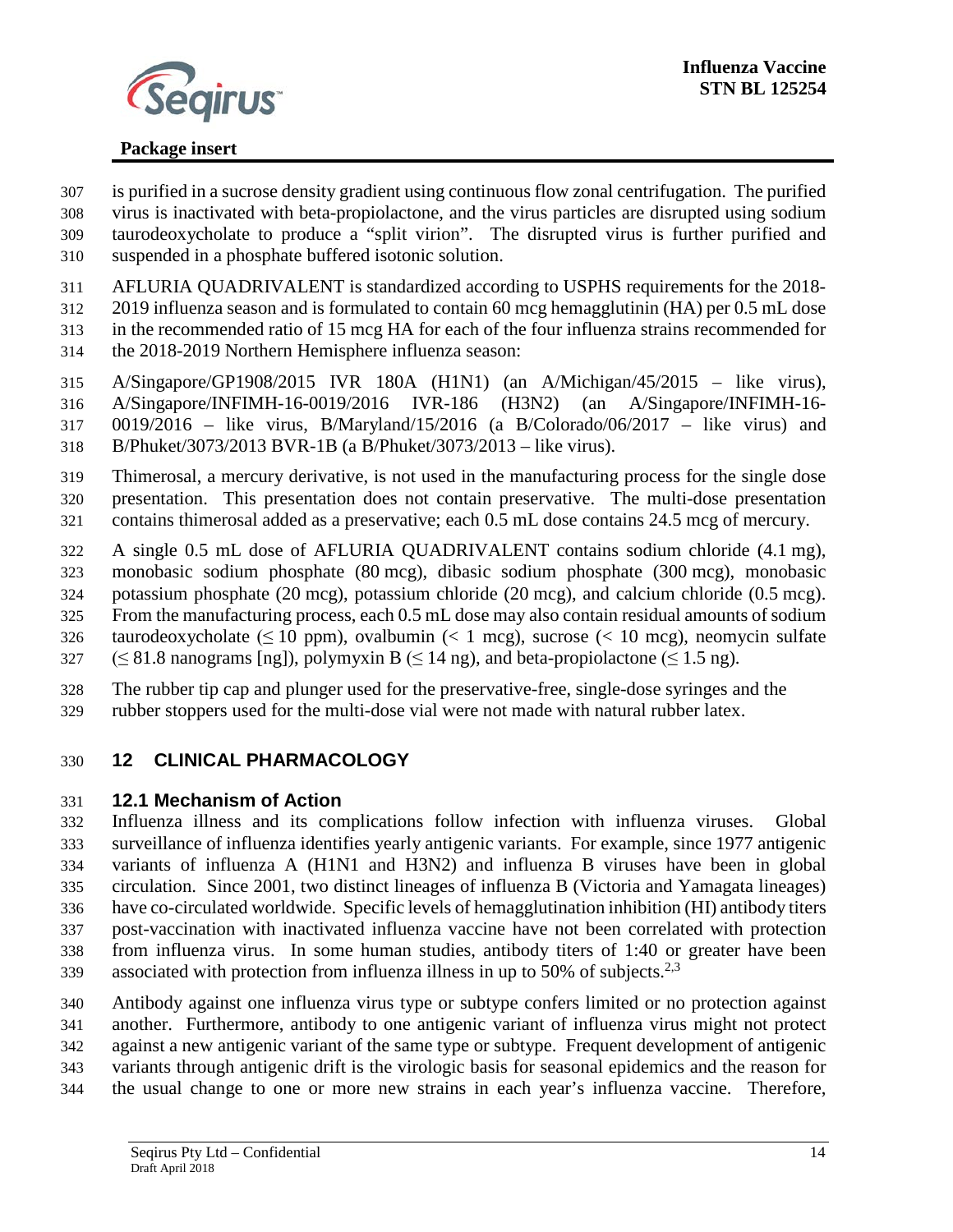

- is purified in a sucrose density gradient using continuous flow zonal centrifugation. The purified virus is inactivated with beta-propiolactone, and the virus particles are disrupted using sodium
- taurodeoxycholate to produce a "split virion". The disrupted virus is further purified and suspended in a phosphate buffered isotonic solution.
- AFLURIA QUADRIVALENT is standardized according to USPHS requirements for the 2018-
- 2019 influenza season and is formulated to contain 60 mcg hemagglutinin (HA) per 0.5 mL dose
- in the recommended ratio of 15 mcg HA for each of the four influenza strains recommended for
- the 2018-2019 Northern Hemisphere influenza season:
- A/Singapore/GP1908/2015 IVR 180A (H1N1) (an A/Michigan/45/2015 like virus),
- A/Singapore/INFIMH-16-0019/2016 IVR-186 (H3N2) (an A/Singapore/INFIMH-16-
- 0019/2016 like virus, B/Maryland/15/2016 (a B/Colorado/06/2017 like virus) and
- B/Phuket/3073/2013 BVR-1B (a B/Phuket/3073/2013 like virus).
- Thimerosal, a mercury derivative, is not used in the manufacturing process for the single dose presentation. This presentation does not contain preservative. The multi-dose presentation contains thimerosal added as a preservative; each 0.5 mL dose contains 24.5 mcg of mercury.
- A single 0.5 mL dose of AFLURIA QUADRIVALENT contains sodium chloride (4.1 mg),
- monobasic sodium phosphate (80 mcg), dibasic sodium phosphate (300 mcg), monobasic
- potassium phosphate (20 mcg), potassium chloride (20 mcg), and calcium chloride (0.5 mcg).
- From the manufacturing process, each 0.5 mL dose may also contain residual amounts of sodium
- 326 taurodeoxycholate ( $\leq 10$  ppm), ovalbumin ( $< 1$  mcg), sucrose ( $< 10$  mcg), neomycin sulfate
- 327 ( $\leq$  81.8 nanograms [ng]), polymyxin B ( $\leq$  14 ng), and beta-propiolactone ( $\leq$  1.5 ng).
- The rubber tip cap and plunger used for the preservative-free, single-dose syringes and the rubber stoppers used for the multi-dose vial were not made with natural rubber latex.
- <span id="page-14-0"></span>

## **12 CLINICAL PHARMACOLOGY**

#### <span id="page-14-1"></span>**12.1 Mechanism of Action**

 Influenza illness and its complications follow infection with influenza viruses. Global surveillance of influenza identifies yearly antigenic variants. For example, since 1977 antigenic variants of influenza A (H1N1 and H3N2) and influenza B viruses have been in global circulation. Since 2001, two distinct lineages of influenza B (Victoria and Yamagata lineages) have co-circulated worldwide. Specific levels of hemagglutination inhibition (HI) antibody titers post-vaccination with inactivated influenza vaccine have not been correlated with protection from influenza virus. In some human studies, antibody titers of 1:40 or greater have been 339 associated with protection from influenza illness in up to 50% of subjects.<sup>2,3</sup>

- Antibody against one influenza virus type or subtype confers limited or no protection against another. Furthermore, antibody to one antigenic variant of influenza virus might not protect
- against a new antigenic variant of the same type or subtype. Frequent development of antigenic
- variants through antigenic drift is the virologic basis for seasonal epidemics and the reason for
- the usual change to one or more new strains in each year's influenza vaccine. Therefore,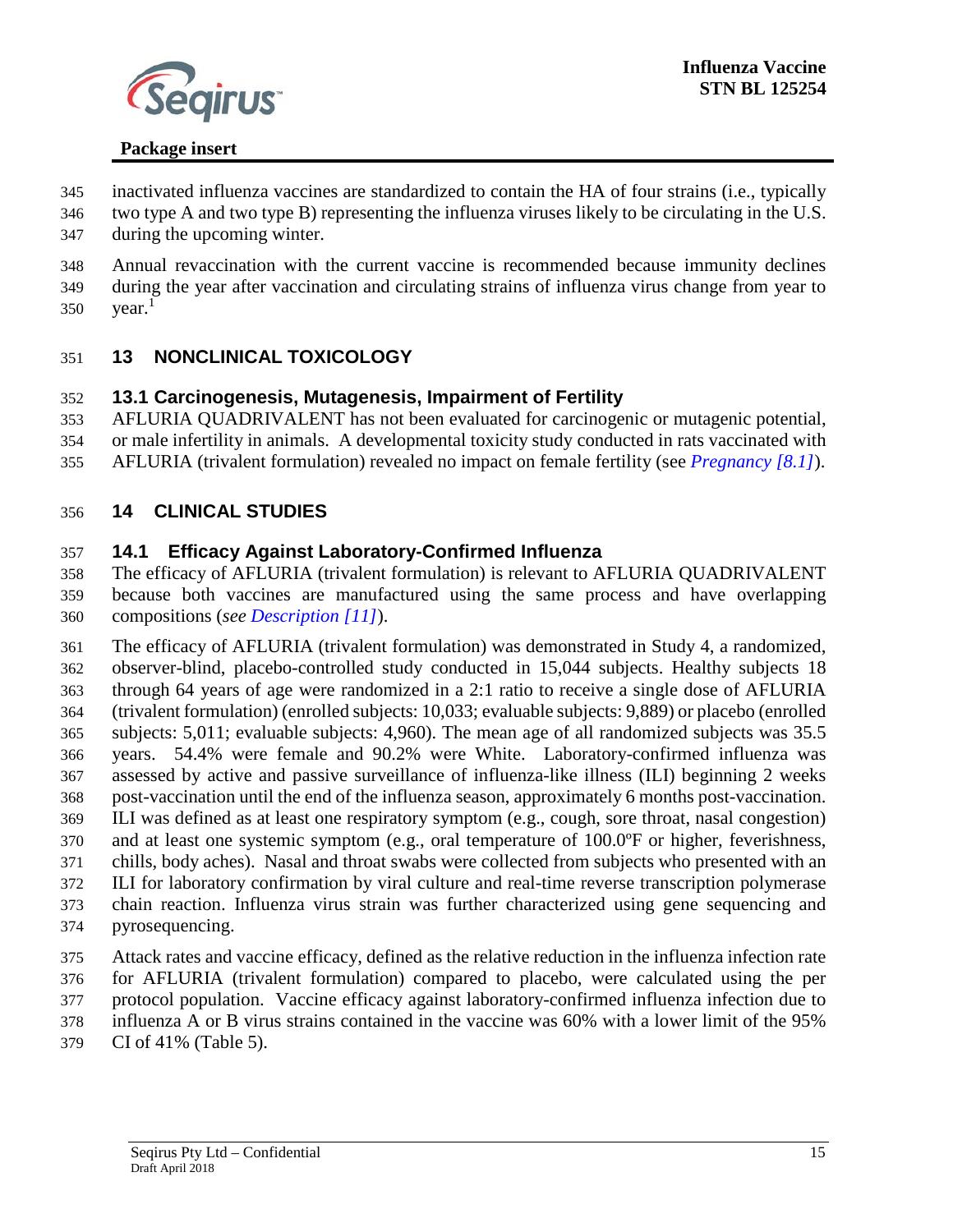

- inactivated influenza vaccines are standardized to contain the HA of four strains (i.e., typically
- two type A and two type B) representing the influenza viruses likely to be circulating in the U.S. during the upcoming winter.
- Annual revaccination with the current vaccine is recommended because immunity declines during the year after vaccination and circulating strains of influenza virus change from year to
- <span id="page-15-0"></span>350  $year.<sup>1</sup>$

## **13 NONCLINICAL TOXICOLOGY**

### <span id="page-15-1"></span>**13.1 Carcinogenesis, Mutagenesis, Impairment of Fertility**

AFLURIA QUADRIVALENT has not been evaluated for carcinogenic or mutagenic potential,

or male infertility in animals. A developmental toxicity study conducted in rats vaccinated with

<span id="page-15-2"></span>AFLURIA (trivalent formulation) revealed no impact on female fertility (see *[Pregnancy \[8.1\]](#page-12-0)*).

## **14 CLINICAL STUDIES**

### <span id="page-15-3"></span>**14.1 Efficacy Against Laboratory-Confirmed Influenza**

 The efficacy of AFLURIA (trivalent formulation) is relevant to AFLURIA QUADRIVALENT because both vaccines are manufactured using the same process and have overlapping compositions (*see [Description \[11\]](#page-13-0)*).

 The efficacy of AFLURIA (trivalent formulation) was demonstrated in Study 4, a randomized, observer-blind, placebo-controlled study conducted in 15,044 subjects. Healthy subjects 18 through 64 years of age were randomized in a 2:1 ratio to receive a single dose of AFLURIA (trivalent formulation) (enrolled subjects: 10,033; evaluable subjects: 9,889) or placebo (enrolled subjects: 5,011; evaluable subjects: 4,960). The mean age of all randomized subjects was 35.5 years. 54.4% were female and 90.2% were White. Laboratory-confirmed influenza was assessed by active and passive surveillance of influenza-like illness (ILI) beginning 2 weeks post-vaccination until the end of the influenza season, approximately 6 months post-vaccination. ILI was defined as at least one respiratory symptom (e.g., cough, sore throat, nasal congestion) and at least one systemic symptom (e.g., oral temperature of 100.0ºF or higher, feverishness, chills, body aches). Nasal and throat swabs were collected from subjects who presented with an ILI for laboratory confirmation by viral culture and real-time reverse transcription polymerase chain reaction. Influenza virus strain was further characterized using gene sequencing and pyrosequencing.

- Attack rates and vaccine efficacy, defined as the relative reduction in the influenza infection rate for AFLURIA (trivalent formulation) compared to placebo, were calculated using the per protocol population. Vaccine efficacy against laboratory-confirmed influenza infection due to influenza A or B virus strains contained in the vaccine was 60% with a lower limit of the 95%
- CI of 41% (Table 5).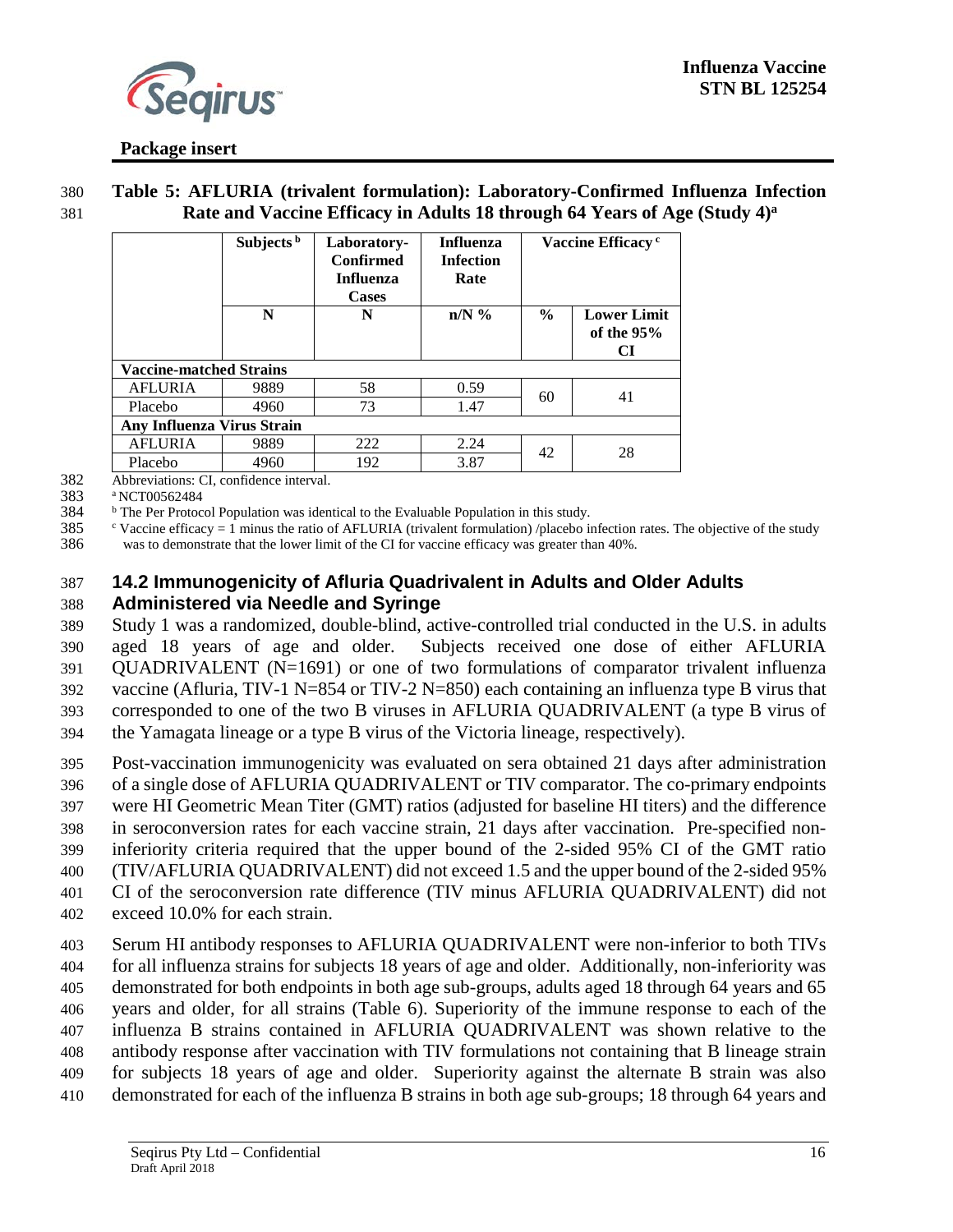

380 **Table 5: AFLURIA (trivalent formulation): Laboratory-Confirmed Influenza Infection Rate and Vaccine Efficacy in Adults 18 through 64 Years of Age (Study 4) <sup>a</sup>** 381

|                                   | Subjects <sup>b</sup> | Laboratory-<br><b>Confirmed</b><br><b>Influenza</b><br><b>Cases</b> | <b>Influenza</b><br><b>Infection</b><br>Rate |               | Vaccine Efficacy <sup>c</sup>            |  |
|-----------------------------------|-----------------------|---------------------------------------------------------------------|----------------------------------------------|---------------|------------------------------------------|--|
|                                   | N                     | N                                                                   | $n/N$ %                                      | $\frac{6}{6}$ | <b>Lower Limit</b><br>of the $95%$<br>CI |  |
| <b>Vaccine-matched Strains</b>    |                       |                                                                     |                                              |               |                                          |  |
| <b>AFLURIA</b>                    | 9889                  | 58                                                                  | 0.59                                         | 60            | 41                                       |  |
| Placebo                           | 4960                  | 73                                                                  | 1.47                                         |               |                                          |  |
| <b>Any Influenza Virus Strain</b> |                       |                                                                     |                                              |               |                                          |  |
| <b>AFLURIA</b>                    | 9889                  | 222                                                                 | 2.24                                         | 42            | 28                                       |  |
| Placebo                           | 4960                  | 192                                                                 | 3.87                                         |               |                                          |  |

382 Abbreviations: CI, confidence interval.

383 <sup>a</sup> NCT00562484

384 **b** The Per Protocol Population was identical to the Evaluable Population in this study.

385 c Vaccine efficacy  $= 1$  minus the ratio of AFLURIA (trivalent formulation) /placebo infection rates. The objective of the study 386 was to demonstrate that the lower limit of the CI for vaccine efficacy was greater than 40%.

#### <span id="page-16-0"></span>387 **14.2 Immunogenicity of Afluria Quadrivalent in Adults and Older Adults**  388 **Administered via Needle and Syringe**

 Study 1 was a randomized, double-blind, active-controlled trial conducted in the U.S. in adults aged 18 years of age and older. Subjects received one dose of either AFLURIA QUADRIVALENT (N=1691) or one of two formulations of comparator trivalent influenza 392 vaccine (Afluria, TIV-1 N=854 or TIV-2 N=850) each containing an influenza type B virus that corresponded to one of the two B viruses in AFLURIA QUADRIVALENT (a type B virus of the Yamagata lineage or a type B virus of the Victoria lineage, respectively).

 Post-vaccination immunogenicity was evaluated on sera obtained 21 days after administration of a single dose of AFLURIA QUADRIVALENT or TIV comparator. The co-primary endpoints were HI Geometric Mean Titer (GMT) ratios (adjusted for baseline HI titers) and the difference in seroconversion rates for each vaccine strain, 21 days after vaccination. Pre-specified non- inferiority criteria required that the upper bound of the 2-sided 95% CI of the GMT ratio (TIV/AFLURIA QUADRIVALENT) did not exceed 1.5 and the upper bound of the 2-sided 95% CI of the seroconversion rate difference (TIV minus AFLURIA QUADRIVALENT) did not

402 exceed 10.0% for each strain.

 Serum HI antibody responses to AFLURIA QUADRIVALENT were non-inferior to both TIVs for all influenza strains for subjects 18 years of age and older. Additionally, non-inferiority was demonstrated for both endpoints in both age sub-groups, adults aged 18 through 64 years and 65 years and older, for all strains (Table 6). Superiority of the immune response to each of the influenza B strains contained in AFLURIA QUADRIVALENT was shown relative to the antibody response after vaccination with TIV formulations not containing that B lineage strain for subjects 18 years of age and older. Superiority against the alternate B strain was also demonstrated for each of the influenza B strains in both age sub-groups; 18 through 64 years and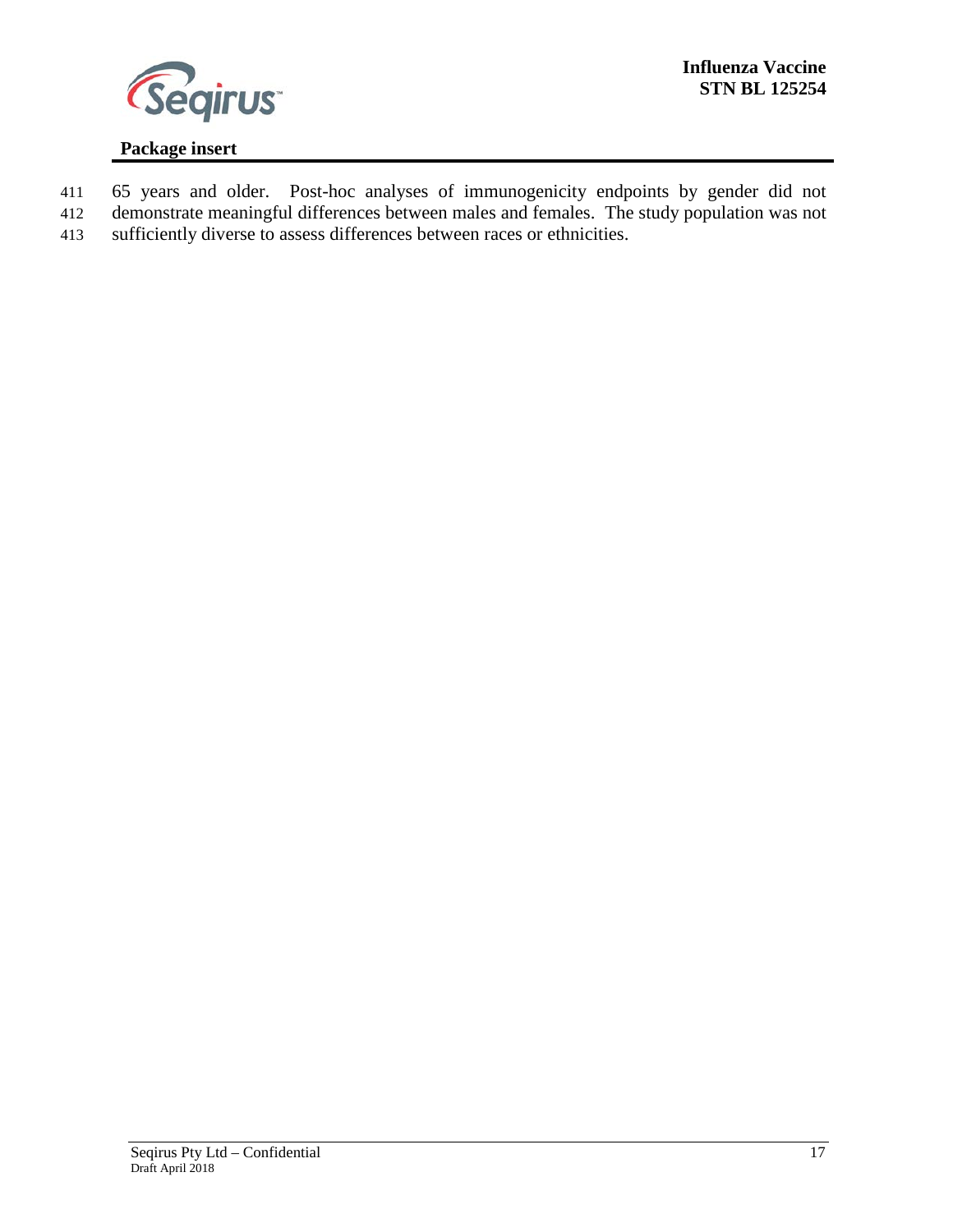

- 411 65 years and older. Post-hoc analyses of immunogenicity endpoints by gender did not
- 412 demonstrate meaningful differences between males and females. The study population was not
- 413 sufficiently diverse to assess differences between races or ethnicities.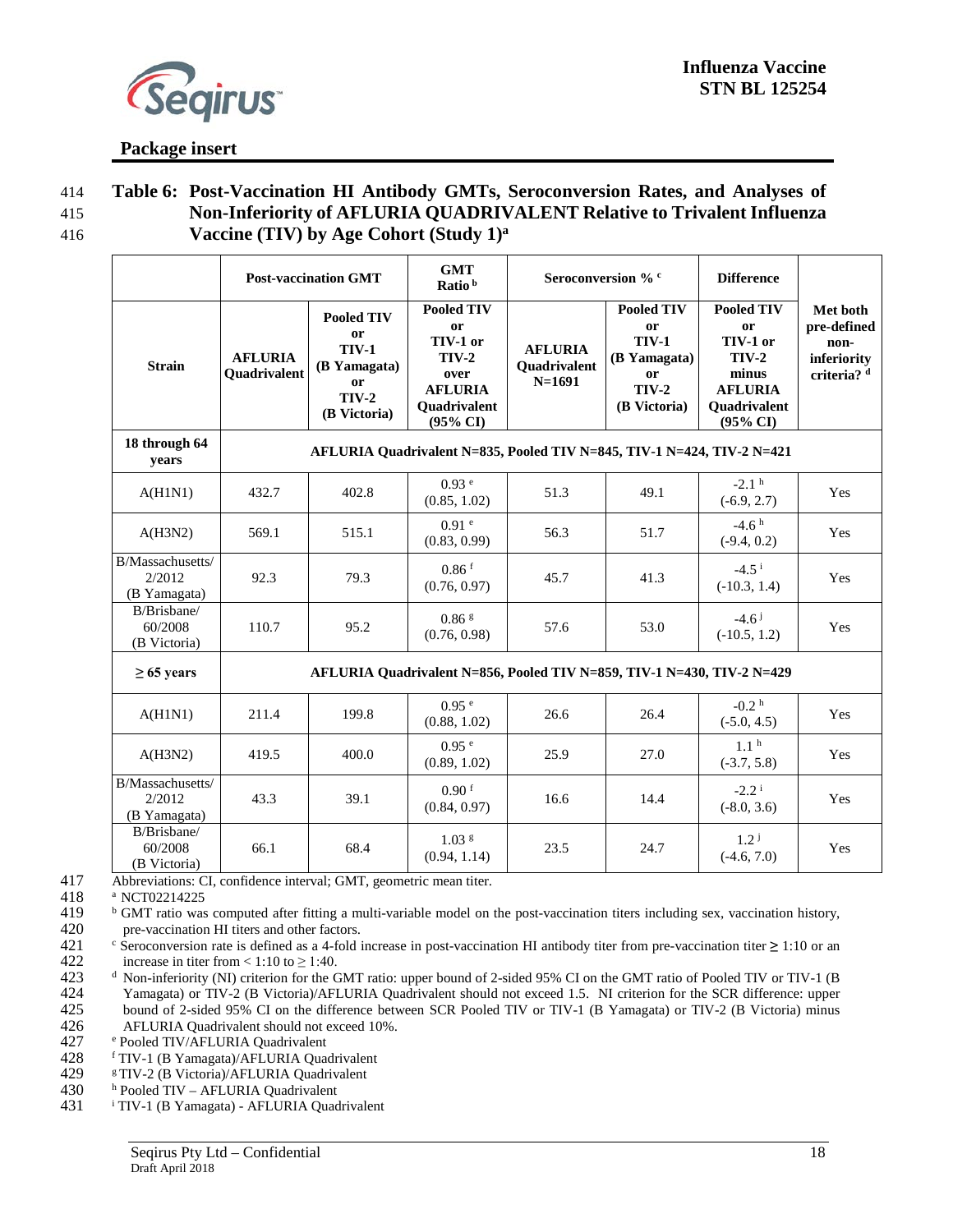

#### 414 **Table 6: Post-Vaccination HI Antibody GMTs, Seroconversion Rates, and Analyses of**  415 **Non-Inferiority of AFLURIA QUADRIVALENT Relative to Trivalent Influenza Vaccine (TIV) by Age Cohort (Study 1) <sup>a</sup>** 416

|                                            | <b>Post-vaccination GMT</b>                                            |                                                                                          | <b>GMT</b><br>Ratio <sup>b</sup>                                                                     | Seroconversion % c                         |                                                                                               | <b>Difference</b>                                                                                     |                                                               |
|--------------------------------------------|------------------------------------------------------------------------|------------------------------------------------------------------------------------------|------------------------------------------------------------------------------------------------------|--------------------------------------------|-----------------------------------------------------------------------------------------------|-------------------------------------------------------------------------------------------------------|---------------------------------------------------------------|
| <b>Strain</b>                              | <b>AFLURIA</b><br>Quadrivalent                                         | <b>Pooled TIV</b><br>or<br><b>TIV-1</b><br>(B Yamagata)<br>or<br>$TIV-2$<br>(B Victoria) | <b>Pooled TIV</b><br>or<br>TIV-1 or<br>$TIV-2$<br>over<br><b>AFLURIA</b><br>Quadrivalent<br>(95% CI) | <b>AFLURIA</b><br>Quadrivalent<br>$N=1691$ | <b>Pooled TIV</b><br>or<br><b>TIV-1</b><br>(B Yamagata)<br>or<br><b>TIV-2</b><br>(B Victoria) | <b>Pooled TIV</b><br>or<br>TIV-1 or<br>$TIV-2$<br>minus<br><b>AFLURIA</b><br>Quadrivalent<br>(95% CI) | Met both<br>pre-defined<br>non-<br>inferiority<br>criteria? d |
| 18 through 64<br>years                     | AFLURIA Quadrivalent N=835, Pooled TIV N=845, TIV-1 N=424, TIV-2 N=421 |                                                                                          |                                                                                                      |                                            |                                                                                               |                                                                                                       |                                                               |
| A(H1N1)                                    | 432.7                                                                  | 402.8                                                                                    | 0.93 <sup>e</sup><br>(0.85, 1.02)                                                                    | 51.3                                       | 49.1                                                                                          | $-2.1h$<br>$(-6.9, 2.7)$                                                                              | Yes                                                           |
| A(H3N2)                                    | 569.1                                                                  | 515.1                                                                                    | 0.91 <sup>e</sup><br>(0.83, 0.99)                                                                    | 56.3                                       | 51.7                                                                                          | $-4.6h$<br>$(-9.4, 0.2)$                                                                              | Yes                                                           |
| B/Massachusetts/<br>2/2012<br>(B Yamagata) | 92.3                                                                   | 79.3                                                                                     | $0.86$ <sup>f</sup><br>(0.76, 0.97)                                                                  | 45.7                                       | 41.3                                                                                          | $-4.5$ <sup>i</sup><br>$(-10.3, 1.4)$                                                                 | Yes                                                           |
| B/Brisbane/<br>60/2008<br>(B Victoria)     | 110.7                                                                  | 95.2                                                                                     | $0.86$ g<br>(0.76, 0.98)                                                                             | 57.6                                       | 53.0                                                                                          | $-4.6j$<br>$(-10.5, 1.2)$                                                                             | Yes                                                           |
| $\geq 65$ years                            |                                                                        | AFLURIA Quadrivalent N=856, Pooled TIV N=859, TIV-1 N=430, TIV-2 N=429                   |                                                                                                      |                                            |                                                                                               |                                                                                                       |                                                               |
| A(H1N1)                                    | 211.4                                                                  | 199.8                                                                                    | 0.95 <sup>e</sup><br>(0.88, 1.02)                                                                    | 26.6                                       | 26.4                                                                                          | $-0.2h$<br>$(-5.0, 4.5)$                                                                              | Yes                                                           |
| A(H3N2)                                    | 419.5                                                                  | 400.0                                                                                    | 0.95 e<br>(0.89, 1.02)                                                                               | 25.9                                       | 27.0                                                                                          | 1.1 <sup>h</sup><br>$(-3.7, 5.8)$                                                                     | Yes                                                           |
| B/Massachusetts/<br>2/2012<br>(B Yamagata) | 43.3                                                                   | 39.1                                                                                     | $0.90$ f<br>(0.84, 0.97)                                                                             | 16.6                                       | 14.4                                                                                          | $-2.2^{\mathrm{i}}$<br>$(-8.0, 3.6)$                                                                  | Yes                                                           |
| B/Brisbane/<br>60/2008<br>(B Victoria)     | 66.1                                                                   | 68.4                                                                                     | 1.03 <sup>g</sup><br>(0.94, 1.14)                                                                    | 23.5                                       | 24.7                                                                                          | $1.2^{j}$<br>$(-4.6, 7.0)$                                                                            | Yes                                                           |

417 Abbreviations: CI, confidence interval; GMT, geometric mean titer.<br>418 a NCT02214225

418 a NCT02214225<br>419 b GMT ratio was

<sup>b</sup> GMT ratio was computed after fitting a multi-variable model on the post-vaccination titers including sex, vaccination history, 420 pre-vaccination HI titers and other factors.

421 Seroconversion rate is defined as a 4-fold increase in post-vaccination HI antibody titer from pre-vaccination titer  $\geq 1:10$  or an increase in titer from  $\lt 1:10$  to  $\geq 1:40$ . 422 increase in titer from < 1:10 to  $\geq$  1:40.<br>423 d Non-inferiority (NI) criterion for the C

- <sup>d</sup> Non-inferiority (NI) criterion for the GMT ratio: upper bound of 2-sided 95% CI on the GMT ratio of Pooled TIV or TIV-1 (B<br>424 Yamagata) or TIV-2 (B Victoria)/AFLURIA Quadrivalent should not exceed 1.5. NI criterion fo 424 Yamagata) or TIV-2 (B Victoria)/AFLURIA Quadrivalent should not exceed 1.5. NI criterion for the SCR difference: upper<br>425 bound of 2-sided 95% CI on the difference between SCR Pooled TIV or TIV-1 (B Yamagata) or TIV-2 bound of 2-sided 95% CI on the difference between SCR Pooled TIV or TIV-1 (B Yamagata) or TIV-2 (B Victoria) minus 426 AFLURIA Quadrivalent should not exceed 10%.<br>427 Pooled TIV/AFLURIA Quadrivalent
- 
- 427 e Pooled TIV/AFLURIA Quadrivalent<br>428 f TIV-1 (B Yamagata)/AFLURIA Quad 428 f TIV-1 (B Yamagata)/AFLURIA Quadrivalent<br>429 f TIV-2 (B Victoria)/AFLURIA Quadrivalent
- 429  $\textdegree$  TIV-2 (B Victoria)/AFLURIA Quadrivalent<br>430  $\textdegree$  Pooled TIV AFLURIA Quadrivalent
- 430 **Pooled TIV AFLURIA Quadrivalent** 431 **Proof** TIV-1 (B Yamagata) AFLURIA Quadright
- <sup>i</sup> TIV-1 (B Yamagata) AFLURIA Quadrivalent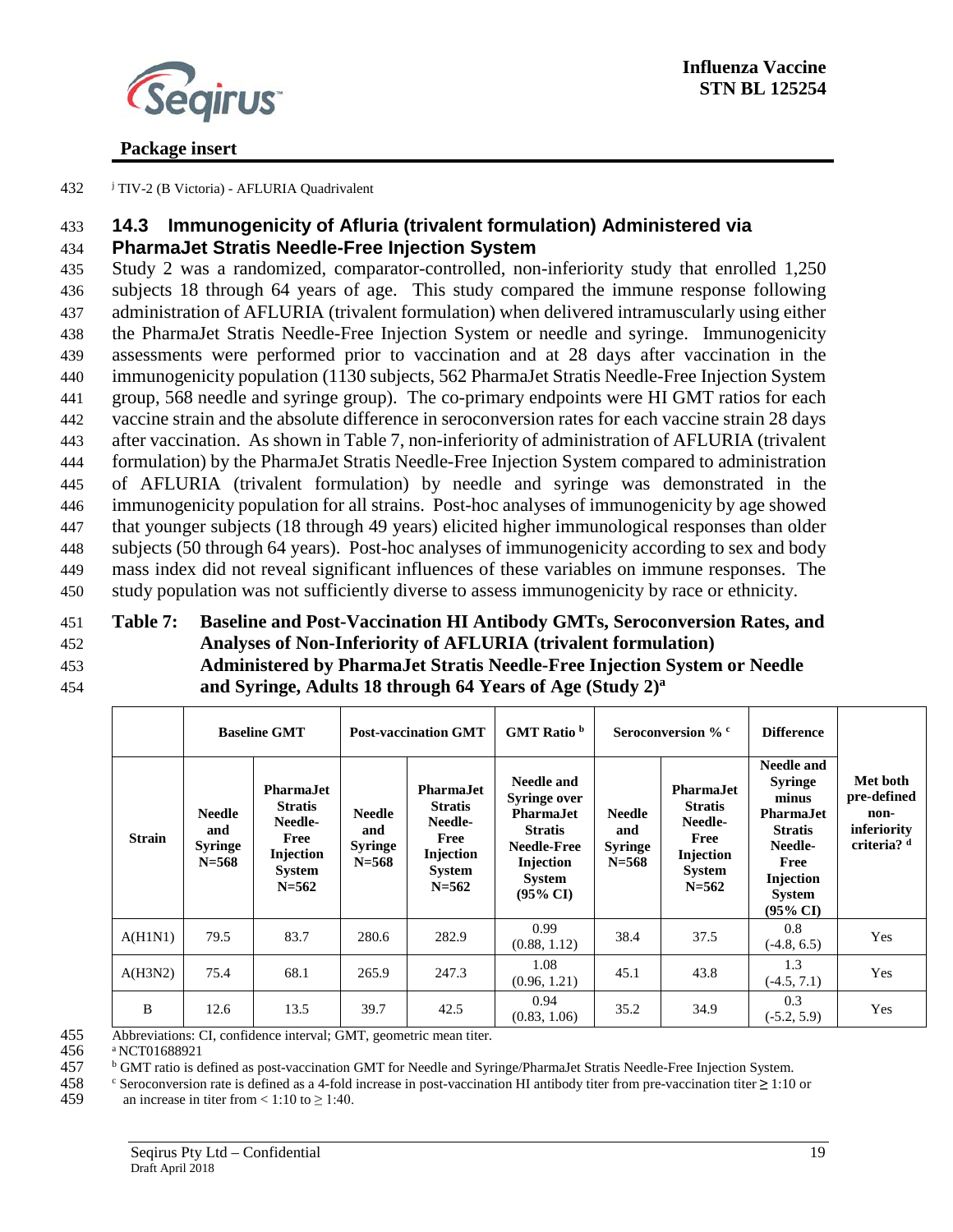

<span id="page-19-0"></span>432 **J** TIV-2 (B Victoria) - AFLURIA Quadrivalent

# 433 **14.3 Immunogenicity of Afluria (trivalent formulation) Administered via**

### 434 **PharmaJet Stratis Needle-Free Injection System**

 Study 2 was a randomized, comparator-controlled, non-inferiority study that enrolled 1,250 subjects 18 through 64 years of age. This study compared the immune response following administration of AFLURIA (trivalent formulation) when delivered intramuscularly using either the PharmaJet Stratis Needle-Free Injection System or needle and syringe. Immunogenicity assessments were performed prior to vaccination and at 28 days after vaccination in the immunogenicity population (1130 subjects, 562 PharmaJet Stratis Needle-Free Injection System group, 568 needle and syringe group). The co-primary endpoints were HI GMT ratios for each vaccine strain and the absolute difference in seroconversion rates for each vaccine strain 28 days after vaccination. As shown in Table 7, non-inferiority of administration of AFLURIA (trivalent formulation) by the PharmaJet Stratis Needle-Free Injection System compared to administration of AFLURIA (trivalent formulation) by needle and syringe was demonstrated in the immunogenicity population for all strains. Post-hoc analyses of immunogenicity by age showed that younger subjects (18 through 49 years) elicited higher immunological responses than older subjects (50 through 64 years). Post-hoc analyses of immunogenicity according to sex and body mass index did not reveal significant influences of these variables on immune responses. The study population was not sufficiently diverse to assess immunogenicity by race or ethnicity.

#### 451 **Table 7: Baseline and Post-Vaccination HI Antibody GMTs, Seroconversion Rates, and**  452 **Analyses of Non-Inferiority of AFLURIA (trivalent formulation)** 453 **Administered by PharmaJet Stratis Needle-Free Injection System or Needle and Syringe, Adults 18 through 64 Years of Age (Study 2) <sup>a</sup>** 454

|               |                                                     | <b>Baseline GMT</b>                                                                              | <b>Post-vaccination GMT</b>                         |                                                                                                         | GMT Ratio <sup>b</sup>                                                                                                                              | Seroconversion % c                                  |                                                                                                  | <b>Difference</b>                                                                                                                                   |                                                                          |
|---------------|-----------------------------------------------------|--------------------------------------------------------------------------------------------------|-----------------------------------------------------|---------------------------------------------------------------------------------------------------------|-----------------------------------------------------------------------------------------------------------------------------------------------------|-----------------------------------------------------|--------------------------------------------------------------------------------------------------|-----------------------------------------------------------------------------------------------------------------------------------------------------|--------------------------------------------------------------------------|
| <b>Strain</b> | <b>Needle</b><br>and<br><b>Syringe</b><br>$N = 568$ | <b>PharmaJet</b><br><b>Stratis</b><br>Needle-<br>Free<br>Injection<br><b>System</b><br>$N = 562$ | <b>Needle</b><br>and<br><b>Syringe</b><br>$N = 568$ | <b>PharmaJet</b><br><b>Stratis</b><br>Needle-<br>Free<br><b>Injection</b><br><b>System</b><br>$N = 562$ | Needle and<br><b>Syringe over</b><br><b>Pharma</b> Jet<br><b>Stratis</b><br><b>Needle-Free</b><br>Injection<br><b>System</b><br>$(95\% \text{ CI})$ | <b>Needle</b><br>and<br><b>Syringe</b><br>$N = 568$ | <b>PharmaJet</b><br><b>Stratis</b><br>Needle-<br>Free<br>Injection<br><b>System</b><br>$N = 562$ | <b>Needle and</b><br><b>Syringe</b><br>minus<br><b>PharmaJet</b><br><b>Stratis</b><br>Needle-<br>Free<br>Injection<br>System<br>$(95\% \text{ CI})$ | Met both<br>pre-defined<br>non-<br>inferiority<br>criteria? <sup>d</sup> |
| A(H1N1)       | 79.5                                                | 83.7                                                                                             | 280.6                                               | 282.9                                                                                                   | 0.99<br>(0.88, 1.12)                                                                                                                                | 38.4                                                | 37.5                                                                                             | 0.8<br>$(-4.8, 6.5)$                                                                                                                                | Yes                                                                      |
| A(H3N2)       | 75.4                                                | 68.1                                                                                             | 265.9                                               | 247.3                                                                                                   | 1.08<br>(0.96, 1.21)                                                                                                                                | 45.1                                                | 43.8                                                                                             | 1.3<br>$(-4.5, 7.1)$                                                                                                                                | Yes                                                                      |
| B             | 12.6                                                | 13.5                                                                                             | 39.7                                                | 42.5                                                                                                    | 0.94<br>(0.83, 1.06)                                                                                                                                | 35.2                                                | 34.9                                                                                             | 0.3<br>$(-5.2, 5.9)$                                                                                                                                | Yes                                                                      |

455 Abbreviations: CI, confidence interval; GMT, geometric mean titer.<br>456 aNCT01688921

 $456$  <sup>a</sup> NCT01688921<br>457 <sup>b</sup> GMT ratio is d

<sup>b</sup> GMT ratio is defined as post-vaccination GMT for Needle and Syringe/PharmaJet Stratis Needle-Free Injection System.

<sup>c</sup> 458 Seroconversion rate is defined as a 4-fold increase in post-vaccination HI antibody titer from pre-vaccination titer **≥** 1:10 or

459 an increase in titer from <  $1:10$  to  $\geq 1:40$ .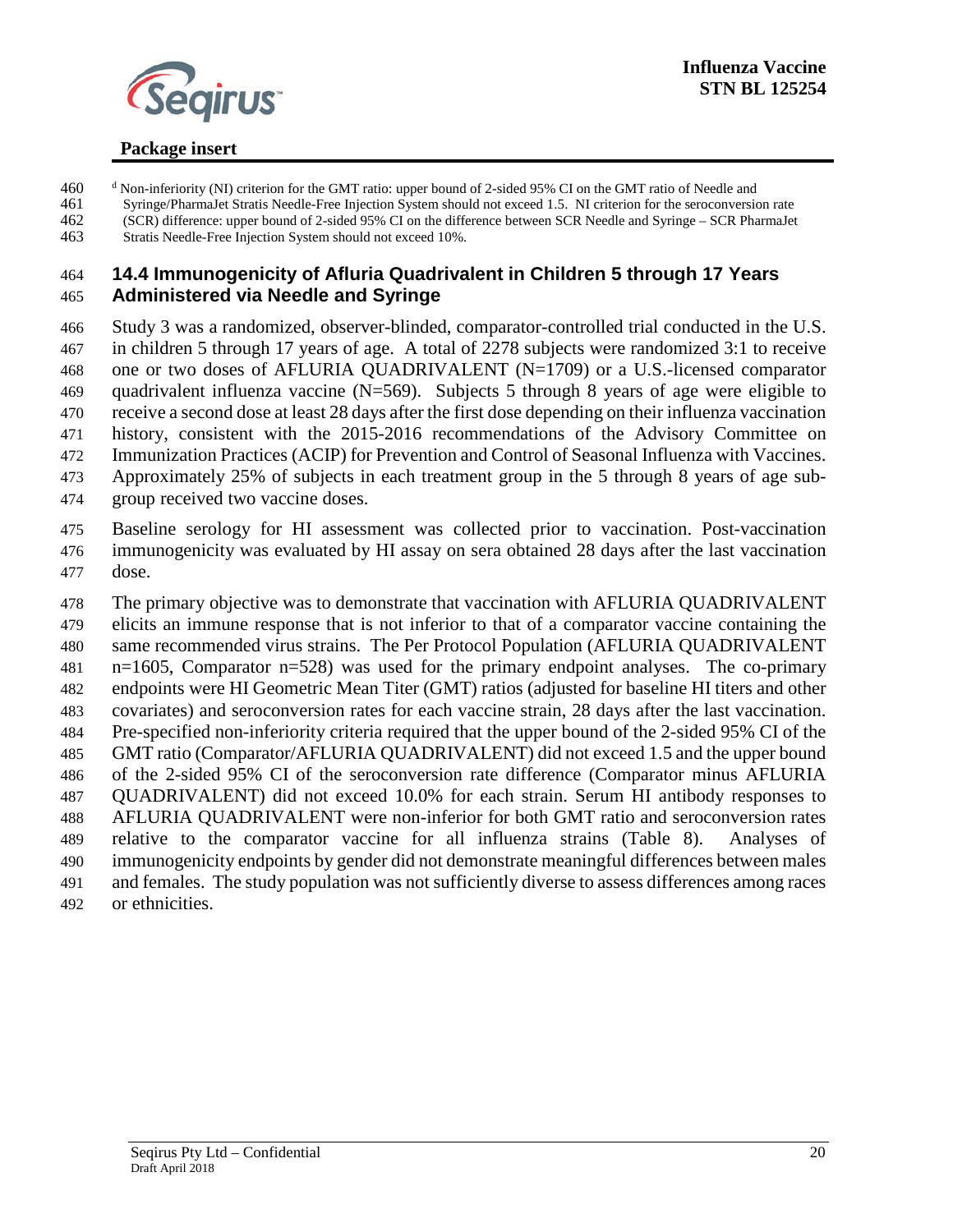

- <sup>d</sup> Non-inferiority (NI) criterion for the GMT ratio: upper bound of 2-sided 95% CI on the GMT ratio of Needle and<br>461 Syringe/PharmaJet Stratis Needle-Free Injection System should not exceed 1.5. NI criterion for the sero 461 Syringe/PharmaJet Stratis Needle-Free Injection System should not exceed 1.5. NI criterion for the seroconversion rate<br>462 (SCR) difference: upper bound of 2-sided 95% CI on the difference between SCR Needle and Syring
- (SCR) difference: upper bound of 2-sided 95% CI on the difference between SCR Needle and Syringe SCR PharmaJet Stratis Needle-Free Injection System should not exceed 10%.

#### <span id="page-20-0"></span> **14.4 Immunogenicity of Afluria Quadrivalent in Children 5 through 17 Years Administered via Needle and Syringe**

- Study 3 was a randomized, observer-blinded, comparator-controlled trial conducted in the U.S. in children 5 through 17 years of age. A total of 2278 subjects were randomized 3:1 to receive one or two doses of AFLURIA QUADRIVALENT (N=1709) or a U.S.-licensed comparator
- quadrivalent influenza vaccine (N=569). Subjects 5 through 8 years of age were eligible to
- receive a second dose at least 28 days after the first dose depending on their influenza vaccination
- history, consistent with the 2015-2016 recommendations of the Advisory Committee on
- Immunization Practices (ACIP) for Prevention and Control of Seasonal Influenza with Vaccines.
- Approximately 25% of subjects in each treatment group in the 5 through 8 years of age sub-
- group received two vaccine doses.
- Baseline serology for HI assessment was collected prior to vaccination. Post-vaccination immunogenicity was evaluated by HI assay on sera obtained 28 days after the last vaccination dose.
- The primary objective was to demonstrate that vaccination with AFLURIA QUADRIVALENT elicits an immune response that is not inferior to that of a comparator vaccine containing the same recommended virus strains. The Per Protocol Population (AFLURIA QUADRIVALENT n=1605, Comparator n=528) was used for the primary endpoint analyses. The co-primary endpoints were HI Geometric Mean Titer (GMT) ratios (adjusted for baseline HI titers and other covariates) and seroconversion rates for each vaccine strain, 28 days after the last vaccination. Pre-specified non-inferiority criteria required that the upper bound of the 2-sided 95% CI of the GMT ratio (Comparator/AFLURIA QUADRIVALENT) did not exceed 1.5 and the upper bound of the 2-sided 95% CI of the seroconversion rate difference (Comparator minus AFLURIA QUADRIVALENT) did not exceed 10.0% for each strain. Serum HI antibody responses to AFLURIA QUADRIVALENT were non-inferior for both GMT ratio and seroconversion rates relative to the comparator vaccine for all influenza strains (Table 8). Analyses of immunogenicity endpoints by gender did not demonstrate meaningful differences between males and females. The study population was not sufficiently diverse to assess differences among races
- or ethnicities.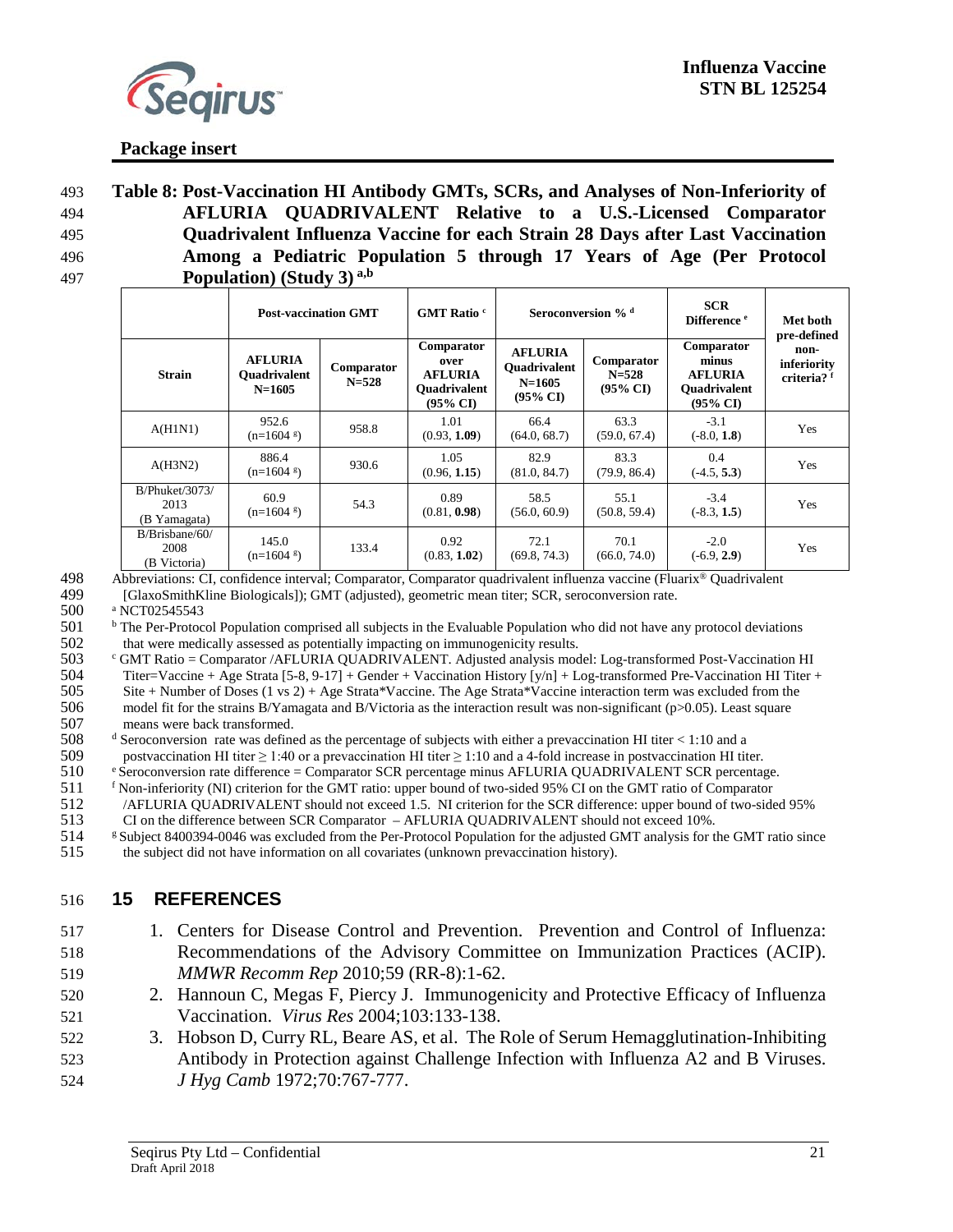

 **Table 8: Post-Vaccination HI Antibody GMTs, SCRs, and Analyses of Non-Inferiority of AFLURIA QUADRIVALENT Relative to a U.S.-Licensed Comparator Quadrivalent Influenza Vaccine for each Strain 28 Days after Last Vaccination Among a Pediatric Population 5 through 17 Years of Age (Per Protocol Population) (Study 3) a,b** 497

|                                               | <b>Post-vaccination GMT</b>                       |                         | GMT Ratio <sup>c</sup>                                                             | Seroconversion % <sup>d</sup>                                              |                                                | <b>SCR</b><br>Difference <sup>e</sup>                                               | Met both<br>pre-defined                       |
|-----------------------------------------------|---------------------------------------------------|-------------------------|------------------------------------------------------------------------------------|----------------------------------------------------------------------------|------------------------------------------------|-------------------------------------------------------------------------------------|-----------------------------------------------|
| <b>Strain</b>                                 | <b>AFLURIA</b><br><b>Ouadrivalent</b><br>$N=1605$ | Comparator<br>$N = 528$ | Comparator<br>over<br><b>AFLURIA</b><br><b>Ouadrivalent</b><br>$(95\% \text{ CI})$ | <b>AFLURIA</b><br><b>Ouadrivalent</b><br>$N = 1605$<br>$(95\% \text{ CI})$ | Comparator<br>$N = 528$<br>$(95\% \text{ CI})$ | Comparator<br>minus<br><b>AFLURIA</b><br><b>Ouadrivalent</b><br>$(95\% \text{ CI})$ | non-<br>inferiority<br>criteria? <sup>f</sup> |
| A(H1N1)                                       | 952.6<br>$(n=1604 \text{ s})$                     | 958.8                   | 1.01<br>(0.93, 1.09)                                                               | 66.4<br>(64.0, 68.7)                                                       | 63.3<br>(59.0, 67.4)                           | $-3.1$<br>$(-8.0, 1.8)$                                                             | Yes                                           |
| A(H3N2)                                       | 886.4<br>$(n=1604 \text{ s})$                     | 930.6                   | 1.05<br>(0.96, 1.15)                                                               | 82.9<br>(81.0, 84.7)                                                       | 83.3<br>(79.9, 86.4)                           | 0.4<br>$(-4.5, 5.3)$                                                                | Yes                                           |
| <b>B/Phuket/3073/</b><br>2013<br>(B Yamagata) | 60.9<br>$(n=1604 \text{ s})$                      | 54.3                    | 0.89<br>(0.81, 0.98)                                                               | 58.5<br>(56.0, 60.9)                                                       | 55.1<br>(50.8, 59.4)                           | $-3.4$<br>$(-8.3, 1.5)$                                                             | Yes                                           |
| $B/B$ risbane/60/<br>2008<br>(B Victoria)     | 145.0<br>$(n=1604 \text{ s})$                     | 133.4                   | 0.92<br>(0.83, 1.02)                                                               | 72.1<br>(69.8, 74.3)                                                       | 70.1<br>(66.0, 74.0)                           | $-2.0$<br>$(-6.9, 2.9)$                                                             | Yes                                           |

498 Abbreviations: CI, confidence interval; Comparator, Comparator quadrivalent influenza vaccine (Fluarix<sup>®</sup> Quadrivalent

499 [GlaxoSmithKline Biologicals]); GMT (adjusted), geometric mean titer; SCR, seroconversion rate.

500 <sup>a</sup> NCT02545543

 $501$  <sup>b</sup> The Per-Protocol Population comprised all subjects in the Evaluable Population who did not have any protocol deviations

502 that were medically assessed as potentially impacting on immunogenicity results.<br>503 GMT Ratio = Comparator /AFLURIA QUADRIVALENT. Adjusted analysis mod <sup>c</sup> GMT Ratio = Comparator /AFLURIA QUADRIVALENT. Adjusted analysis model: Log-transformed Post-Vaccination HI (5-8, 9-17) + Gender + Vaccination History [y/n] + Log-transformed Pre-Vaccination HI Titer + 504 Titer=Vaccine + Age Strata [5-8, 9-17] + Gender + Vaccination History [y/n] + Log-transformed Pre-Vaccination HI Titer + 505 Site + Number of Doses (1 vs 2) + Age Strata\*Vaccine. The Age Strata\*Vaccine interaction ter Site + Number of Doses (1 vs 2) + Age Strata\*Vaccine. The Age Strata\*Vaccine interaction term was excluded from the 506 model fit for the strains B/Yamagata and B/Victoria as the interaction result was non-significant (p>0.05). Least square<br>507 means were back transformed.

<sup>e</sup> 510 Seroconversion rate difference = Comparator SCR percentage minus AFLURIA QUADRIVALENT SCR percentage.

511 f Non-inferiority (NI) criterion for the GMT ratio: upper bound of two-sided 95% CI on the GMT ratio of Comparator<br>512 / AFLURIA QUADRIVALENT should not exceed 1.5. NI criterion for the SCR difference: upper bound of t 512 /AFLURIA QUADRIVALENT should not exceed 1.5. NI criterion for the SCR difference: upper bound of two-sided 95% CI on the difference between SCR Comparator – AFLURIA QUADRIVALENT should not exceed 10%.

513 CI on the difference between SCR Comparator – AFLURIA QUADRIVALENT should not exceed 10%.<br>514 Subject 8400394-0046 was excluded from the Per-Protocol Population for the adjusted GMT analysis for t <sup>g</sup> Subject 8400394-0046 was excluded from the Per-Protocol Population for the adjusted GMT analysis for the GMT ratio since 515 the subject did not have information on all covariates (unknown prevaccination history).

## 516 **15 REFERENCES**

- 517 1. Centers for Disease Control and Prevention. Prevention and Control of Influenza: 518 Recommendations of the Advisory Committee on Immunization Practices (ACIP). 519 *MMWR Recomm Rep* 2010;59 (RR-8):1-62.
- 520 2. Hannoun C, Megas F, Piercy J. Immunogenicity and Protective Efficacy of Influenza 521 Vaccination. *Virus Res* 2004;103:133-138.
- 522 3. Hobson D, Curry RL, Beare AS, et al. The Role of Serum Hemagglutination-Inhibiting 523 Antibody in Protection against Challenge Infection with Influenza A2 and B Viruses. 524 *J Hyg Camb* 1972;70:767-777.

<sup>507</sup> means were back transformed.<br>508  $\frac{d}{ }$  Seroconversion rate was define 508 <sup>d</sup> Seroconversion rate was defined as the percentage of subjects with either a prevaccination HI titer < 1:10 and a 509 postvaccination HI titer > 1:40 or a prevaccination HI titer > 1:10 and a 4-fold increase in pos 509 postvaccination HI titer  $\geq$  1:40 or a prevaccination HI titer  $\geq$  1:10 and a 4-fold increase in postvaccination HI titer.<br>510 Seroconversion rate difference = Comparator SCR percentage minus AFLURIA QUADRIVALENT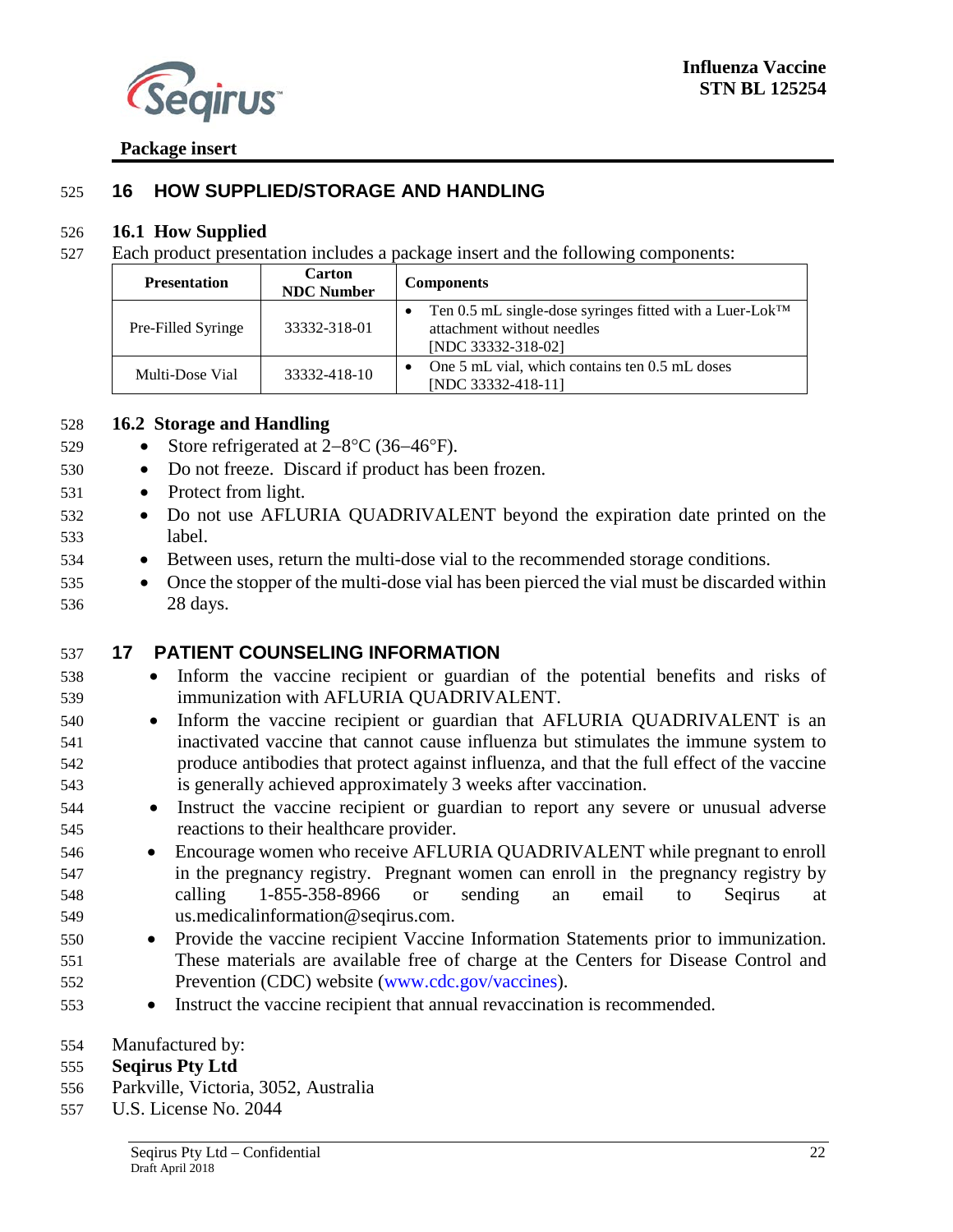

### <span id="page-22-0"></span>**16 HOW SUPPLIED/STORAGE AND HANDLING**

#### <span id="page-22-1"></span>**16.1 How Supplied**

Each product presentation includes a package insert and the following components:

| <b>Presentation</b> | <b>Carton</b><br><b>NDC Number</b> | <b>Components</b>                                                                                                                     |  |  |
|---------------------|------------------------------------|---------------------------------------------------------------------------------------------------------------------------------------|--|--|
| Pre-Filled Syringe  | 33332-318-01                       | Ten 0.5 mL single-dose syringes fitted with a Luer-Lok <sup>TM</sup><br>$\bullet$<br>attachment without needles<br>[NDC 33332-318-02] |  |  |
| Multi-Dose Vial     | 33332-418-10                       | One 5 mL vial, which contains ten 0.5 mL doses<br>$\bullet$<br>[NDC 33332-418-11]                                                     |  |  |

#### <span id="page-22-2"></span>**16.2 Storage and Handling**

- Store refrigerated at 2−8°C (36−46°F).
- Do not freeze. Discard if product has been frozen.
- Protect from light.
- Do not use AFLURIA QUADRIVALENT beyond the expiration date printed on the label.
- Between uses, return the multi-dose vial to the recommended storage conditions.
- 535 Once the stopper of the multi-dose vial has been pierced the vial must be discarded within 28 days.

#### <span id="page-22-3"></span>**17 PATIENT COUNSELING INFORMATION**

- Inform the vaccine recipient or guardian of the potential benefits and risks of immunization with AFLURIA QUADRIVALENT.
- Ιnform the vaccine recipient or guardian that AFLURIA QUADRIVALENT is an inactivated vaccine that cannot cause influenza but stimulates the immune system to produce antibodies that protect against influenza, and that the full effect of the vaccine is generally achieved approximately 3 weeks after vaccination.
- Instruct the vaccine recipient or guardian to report any severe or unusual adverse reactions to their healthcare provider.
- Encourage women who receive AFLURIA QUADRIVALENT while pregnant to enroll in the pregnancy registry. Pregnant women can enroll in the pregnancy registry by calling 1-855-358-8966 or sending an email to Seqirus at us.medicalinformation@seqirus.com.
- Provide the vaccine recipient Vaccine Information Statements prior to immunization. These materials are available free of charge at the Centers for Disease Control and Prevention (CDC) website [\(www.cdc.gov/vaccines\)](http://www.cdc.gov/vaccines).
- Instruct the vaccine recipient that annual revaccination is recommended.

#### Manufactured by:

#### **Seqirus Pty Ltd**

- Parkville, Victoria, 3052, Australia
- U.S. License No. 2044